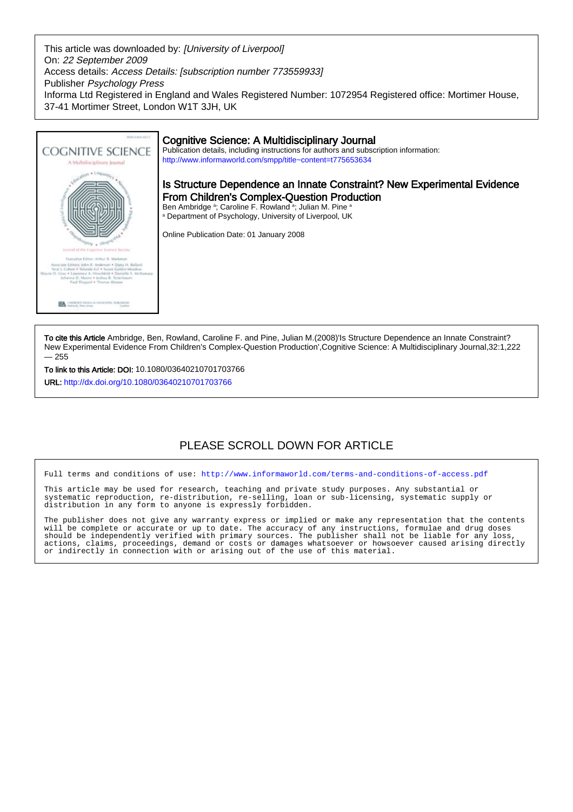This article was downloaded by: [University of Liverpool] On: 22 September 2009 Access details: Access Details: [subscription number 773559933] Publisher Psychology Press Informa Ltd Registered in England and Wales Registered Number: 1072954 Registered office: Mortimer House, 37-41 Mortimer Street, London W1T 3JH, UK



To cite this Article Ambridge, Ben, Rowland, Caroline F. and Pine, Julian M.(2008)'Is Structure Dependence an Innate Constraint? New Experimental Evidence From Children's Complex-Question Production',Cognitive Science: A Multidisciplinary Journal,32:1,222 — 255

To link to this Article: DOI: 10.1080/03640210701703766 URL: <http://dx.doi.org/10.1080/03640210701703766>

# PLEASE SCROLL DOWN FOR ARTICLE

Full terms and conditions of use:<http://www.informaworld.com/terms-and-conditions-of-access.pdf>

This article may be used for research, teaching and private study purposes. Any substantial or systematic reproduction, re-distribution, re-selling, loan or sub-licensing, systematic supply or distribution in any form to anyone is expressly forbidden.

The publisher does not give any warranty express or implied or make any representation that the contents will be complete or accurate or up to date. The accuracy of any instructions, formulae and drug doses should be independently verified with primary sources. The publisher shall not be liable for any loss, actions, claims, proceedings, demand or costs or damages whatsoever or howsoever caused arising directly or indirectly in connection with or arising out of the use of this material.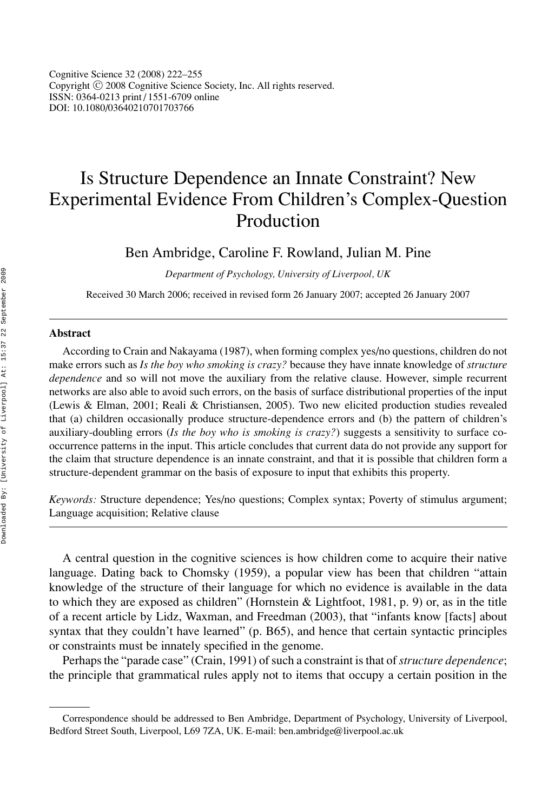Cognitive Science 32 (2008) 222–255 Copyright <sup>C</sup> 2008 Cognitive Science Society, Inc. All rights reserved. ISSN: 0364-0213 print / 1551-6709 online DOI: 10.1080/03640210701703766

# Is Structure Dependence an Innate Constraint? New Experimental Evidence From Children's Complex-Question Production

Ben Ambridge, Caroline F. Rowland, Julian M. Pine

*Department of Psychology, University of Liverpool, UK*

Received 30 March 2006; received in revised form 26 January 2007; accepted 26 January 2007

#### **Abstract**

According to Crain and Nakayama (1987), when forming complex yes/no questions, children do not make errors such as *Is the boy who smoking is crazy?* because they have innate knowledge of *structure dependence* and so will not move the auxiliary from the relative clause. However, simple recurrent networks are also able to avoid such errors, on the basis of surface distributional properties of the input (Lewis & Elman, 2001; Reali & Christiansen, 2005). Two new elicited production studies revealed that (a) children occasionally produce structure-dependence errors and (b) the pattern of children's auxiliary-doubling errors (*Is the boy who is smoking is crazy?*) suggests a sensitivity to surface cooccurrence patterns in the input. This article concludes that current data do not provide any support for the claim that structure dependence is an innate constraint, and that it is possible that children form a structure-dependent grammar on the basis of exposure to input that exhibits this property.

*Keywords:* Structure dependence; Yes/no questions; Complex syntax; Poverty of stimulus argument; Language acquisition; Relative clause

A central question in the cognitive sciences is how children come to acquire their native language. Dating back to Chomsky (1959), a popular view has been that children "attain knowledge of the structure of their language for which no evidence is available in the data to which they are exposed as children" (Hornstein & Lightfoot, 1981, p. 9) or, as in the title of a recent article by Lidz, Waxman, and Freedman (2003), that "infants know [facts] about syntax that they couldn't have learned" (p. B65), and hence that certain syntactic principles or constraints must be innately specified in the genome.

Perhaps the "parade case" (Crain, 1991) of such a constraint is that of*structure dependence*; the principle that grammatical rules apply not to items that occupy a certain position in the

Correspondence should be addressed to Ben Ambridge, Department of Psychology, University of Liverpool, Bedford Street South, Liverpool, L69 7ZA, UK. E-mail: ben.ambridge@liverpool.ac.uk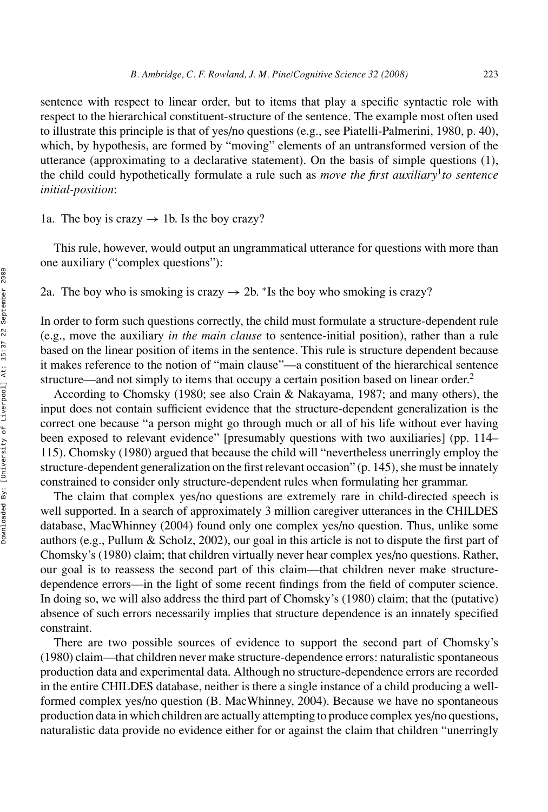sentence with respect to linear order, but to items that play a specific syntactic role with respect to the hierarchical constituent-structure of the sentence. The example most often used to illustrate this principle is that of yes/no questions (e.g., see Piatelli-Palmerini, 1980, p. 40), which, by hypothesis, are formed by "moving" elements of an untransformed version of the utterance (approximating to a declarative statement). On the basis of simple questions (1), the child could hypothetically formulate a rule such as *move the first auxiliary*<sup>1</sup>*to sentence initial-position*:

1a. The boy is crazy  $\rightarrow$  1b. Is the boy crazy?

This rule, however, would output an ungrammatical utterance for questions with more than one auxiliary ("complex questions"):

2a. The boy who is smoking is crazy  $\rightarrow$  2b. \*Is the boy who smoking is crazy?

In order to form such questions correctly, the child must formulate a structure-dependent rule (e.g., move the auxiliary *in the main clause* to sentence-initial position), rather than a rule based on the linear position of items in the sentence. This rule is structure dependent because it makes reference to the notion of "main clause"—a constituent of the hierarchical sentence structure—and not simply to items that occupy a certain position based on linear order.<sup>2</sup>

According to Chomsky (1980; see also Crain & Nakayama, 1987; and many others), the input does not contain sufficient evidence that the structure-dependent generalization is the correct one because "a person might go through much or all of his life without ever having been exposed to relevant evidence" [presumably questions with two auxiliaries] (pp. 114– 115). Chomsky (1980) argued that because the child will "nevertheless unerringly employ the structure-dependent generalization on the first relevant occasion" (p. 145), she must be innately constrained to consider only structure-dependent rules when formulating her grammar.

The claim that complex yes/no questions are extremely rare in child-directed speech is well supported. In a search of approximately 3 million caregiver utterances in the CHILDES database, MacWhinney (2004) found only one complex yes/no question. Thus, unlike some authors (e.g., Pullum & Scholz, 2002), our goal in this article is not to dispute the first part of Chomsky's (1980) claim; that children virtually never hear complex yes/no questions. Rather, our goal is to reassess the second part of this claim—that children never make structuredependence errors—in the light of some recent findings from the field of computer science. In doing so, we will also address the third part of Chomsky's (1980) claim; that the (putative) absence of such errors necessarily implies that structure dependence is an innately specified constraint.

There are two possible sources of evidence to support the second part of Chomsky's (1980) claim—that children never make structure-dependence errors: naturalistic spontaneous production data and experimental data. Although no structure-dependence errors are recorded in the entire CHILDES database, neither is there a single instance of a child producing a wellformed complex yes/no question (B. MacWhinney, 2004). Because we have no spontaneous production data in which children are actually attempting to produce complex yes/no questions, naturalistic data provide no evidence either for or against the claim that children "unerringly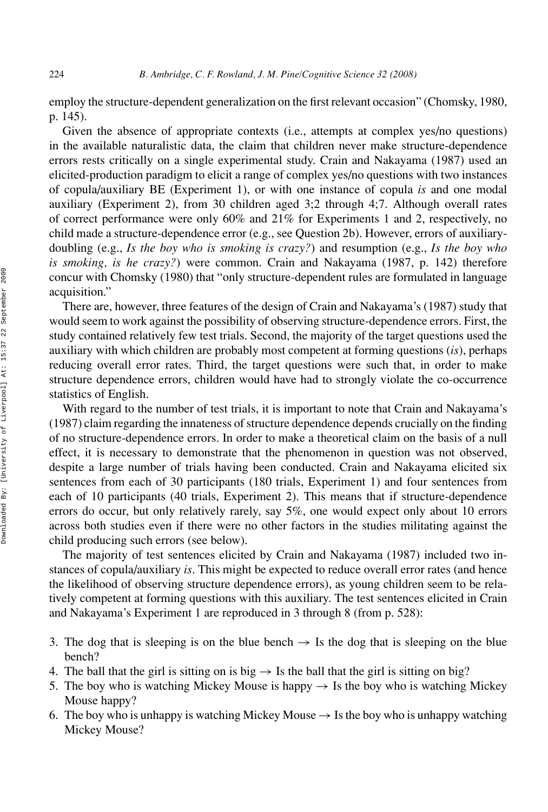employ the structure-dependent generalization on the first relevant occasion" (Chomsky, 1980, p. 145).

Given the absence of appropriate contexts (i.e., attempts at complex yes/no questions) in the available naturalistic data, the claim that children never make structure-dependence errors rests critically on a single experimental study. Crain and Nakayama (1987) used an elicited-production paradigm to elicit a range of complex yes/no questions with two instances of copula/auxiliary BE (Experiment 1), or with one instance of copula *is* and one modal auxiliary (Experiment 2), from 30 children aged 3;2 through 4;7. Although overall rates of correct performance were only 60% and 21% for Experiments 1 and 2, respectively, no child made a structure-dependence error (e.g., see Question 2b). However, errors of auxiliarydoubling (e.g., *Is the boy who is smoking is crazy?*) and resumption (e.g., *Is the boy who is smoking, is he crazy?*) were common. Crain and Nakayama (1987, p. 142) therefore concur with Chomsky (1980) that "only structure-dependent rules are formulated in language acquisition."

There are, however, three features of the design of Crain and Nakayama's (1987) study that would seem to work against the possibility of observing structure-dependence errors. First, the study contained relatively few test trials. Second, the majority of the target questions used the auxiliary with which children are probably most competent at forming questions (*is*), perhaps reducing overall error rates. Third, the target questions were such that, in order to make structure dependence errors, children would have had to strongly violate the co-occurrence statistics of English.

With regard to the number of test trials, it is important to note that Crain and Nakayama's (1987) claim regarding the innateness of structure dependence depends crucially on the finding of no structure-dependence errors. In order to make a theoretical claim on the basis of a null effect, it is necessary to demonstrate that the phenomenon in question was not observed, despite a large number of trials having been conducted. Crain and Nakayama elicited six sentences from each of 30 participants (180 trials, Experiment 1) and four sentences from each of 10 participants (40 trials, Experiment 2). This means that if structure-dependence errors do occur, but only relatively rarely, say 5%, one would expect only about 10 errors across both studies even if there were no other factors in the studies militating against the child producing such errors (see below).

The majority of test sentences elicited by Crain and Nakayama (1987) included two instances of copula/auxiliary *is*. This might be expected to reduce overall error rates (and hence the likelihood of observing structure dependence errors), as young children seem to be relatively competent at forming questions with this auxiliary. The test sentences elicited in Crain and Nakayama's Experiment 1 are reproduced in 3 through 8 (from p. 528):

- 3. The dog that is sleeping is on the blue bench  $\rightarrow$  Is the dog that is sleeping on the blue bench?
- 4. The ball that the girl is sitting on is big  $\rightarrow$  Is the ball that the girl is sitting on big?
- 5. The boy who is watching Mickey Mouse is happy  $\rightarrow$  Is the boy who is watching Mickey Mouse happy?
- 6. The boy who is unhappy is watching Mickey Mouse  $\rightarrow$  Is the boy who is unhappy watching Mickey Mouse?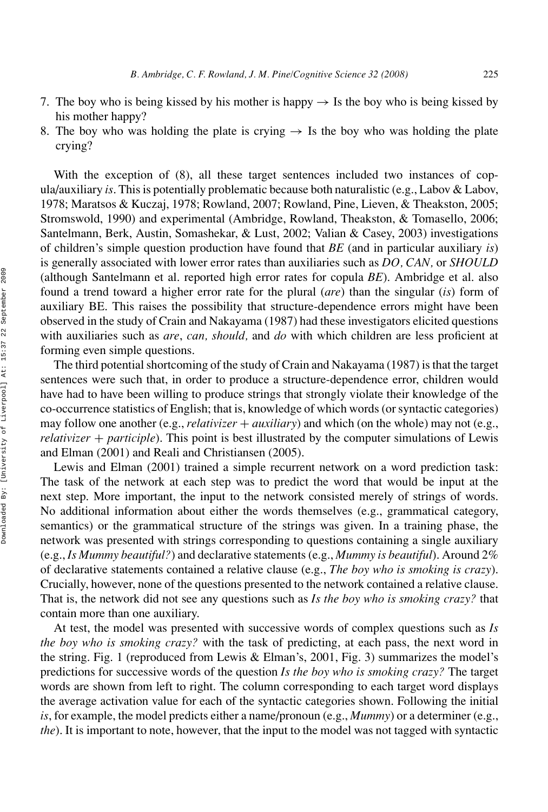- 7. The boy who is being kissed by his mother is happy  $\rightarrow$  Is the boy who is being kissed by his mother happy?
- 8. The boy who was holding the plate is crying  $\rightarrow$  Is the boy who was holding the plate crying?

With the exception of (8), all these target sentences included two instances of copula/auxiliary *is*. This is potentially problematic because both naturalistic (e.g., Labov & Labov, 1978; Maratsos & Kuczaj, 1978; Rowland, 2007; Rowland, Pine, Lieven, & Theakston, 2005; Stromswold, 1990) and experimental (Ambridge, Rowland, Theakston, & Tomasello, 2006; Santelmann, Berk, Austin, Somashekar, & Lust, 2002; Valian & Casey, 2003) investigations of children's simple question production have found that *BE* (and in particular auxiliary *is*) is generally associated with lower error rates than auxiliaries such as *DO, CAN,* or *SHOULD* (although Santelmann et al. reported high error rates for copula *BE*). Ambridge et al. also found a trend toward a higher error rate for the plural (*are*) than the singular (*is*) form of auxiliary BE. This raises the possibility that structure-dependence errors might have been observed in the study of Crain and Nakayama (1987) had these investigators elicited questions with auxiliaries such as *are*, *can, should,* and *do* with which children are less proficient at forming even simple questions.

The third potential shortcoming of the study of Crain and Nakayama (1987) is that the target sentences were such that, in order to produce a structure-dependence error, children would have had to have been willing to produce strings that strongly violate their knowledge of the co-occurrence statistics of English; that is, knowledge of which words (or syntactic categories) may follow one another (e.g., *relativizer* + *auxiliary*) and which (on the whole) may not (e.g., *relativizer* + *participle*). This point is best illustrated by the computer simulations of Lewis and Elman (2001) and Reali and Christiansen (2005).

Lewis and Elman (2001) trained a simple recurrent network on a word prediction task: The task of the network at each step was to predict the word that would be input at the next step. More important, the input to the network consisted merely of strings of words. No additional information about either the words themselves (e.g., grammatical category, semantics) or the grammatical structure of the strings was given. In a training phase, the network was presented with strings corresponding to questions containing a single auxiliary (e.g., *Is Mummy beautiful?*) and declarative statements (e.g., *Mummy is beautiful*). Around 2% of declarative statements contained a relative clause (e.g., *The boy who is smoking is crazy*). Crucially, however, none of the questions presented to the network contained a relative clause. That is, the network did not see any questions such as *Is the boy who is smoking crazy?* that contain more than one auxiliary.

At test, the model was presented with successive words of complex questions such as *Is the boy who is smoking crazy?* with the task of predicting, at each pass, the next word in the string. Fig. 1 (reproduced from Lewis & Elman's, 2001, Fig. 3) summarizes the model's predictions for successive words of the question *Is the boy who is smoking crazy?* The target words are shown from left to right. The column corresponding to each target word displays the average activation value for each of the syntactic categories shown. Following the initial *is*, for example, the model predicts either a name/pronoun (e.g., *Mummy*) or a determiner (e.g., *the*). It is important to note, however, that the input to the model was not tagged with syntactic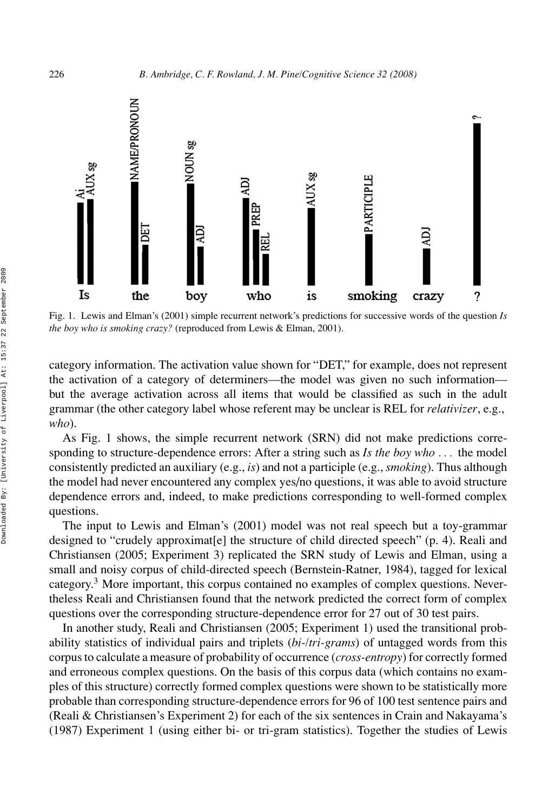

Fig. 1. Lewis and Elman's (2001) simple recurrent network's predictions for successive words of the question *Is the boy who is smoking crazy?* (reproduced from Lewis & Elman, 2001).

category information. The activation value shown for "DET," for example, does not represent the activation of a category of determiners—the model was given no such information but the average activation across all items that would be classified as such in the adult grammar (the other category label whose referent may be unclear is REL for *relativizer*, e.g., *who*).

As Fig. 1 shows, the simple recurrent network (SRN) did not make predictions corresponding to structure-dependence errors: After a string such as *Is the boy who . . .* the model consistently predicted an auxiliary (e.g., *is*) and not a participle (e.g., *smoking*). Thus although the model had never encountered any complex yes/no questions, it was able to avoid structure dependence errors and, indeed, to make predictions corresponding to well-formed complex questions.

The input to Lewis and Elman's (2001) model was not real speech but a toy-grammar designed to "crudely approximat [e] the structure of child directed speech"  $(p, 4)$ . Reali and Christiansen (2005; Experiment 3) replicated the SRN study of Lewis and Elman, using a small and noisy corpus of child-directed speech (Bernstein-Ratner, 1984), tagged for lexical category.<sup>3</sup> More important, this corpus contained no examples of complex questions. Nevertheless Reali and Christiansen found that the network predicted the correct form of complex questions over the corresponding structure-dependence error for 27 out of 30 test pairs.

In another study, Reali and Christiansen (2005; Experiment 1) used the transitional probability statistics of individual pairs and triplets (*bi-/tri-grams*) of untagged words from this corpus to calculate a measure of probability of occurrence (*cross-entropy*) for correctly formed and erroneous complex questions. On the basis of this corpus data (which contains no examples of this structure) correctly formed complex questions were shown to be statistically more probable than corresponding structure-dependence errors for 96 of 100 test sentence pairs and (Reali & Christiansen's Experiment 2) for each of the six sentences in Crain and Nakayama's (1987) Experiment 1 (using either bi- or tri-gram statistics). Together the studies of Lewis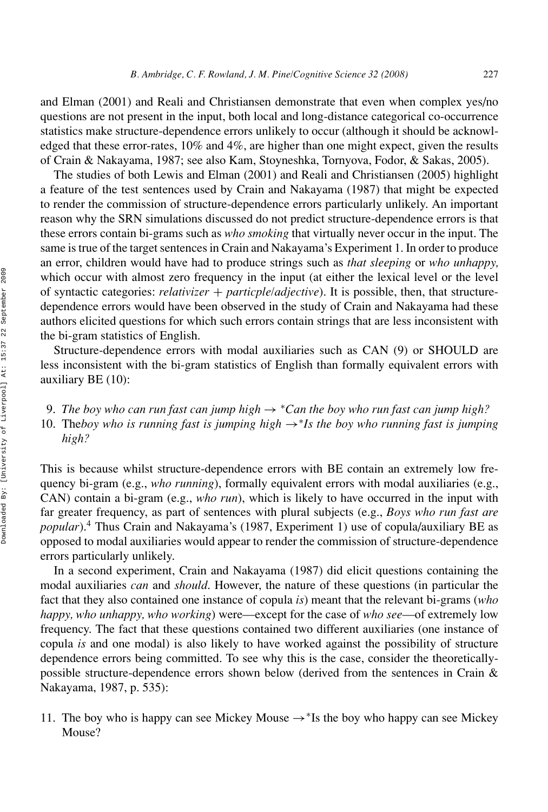and Elman (2001) and Reali and Christiansen demonstrate that even when complex yes/no questions are not present in the input, both local and long-distance categorical co-occurrence statistics make structure-dependence errors unlikely to occur (although it should be acknowledged that these error-rates, 10% and 4%, are higher than one might expect, given the results of Crain & Nakayama, 1987; see also Kam, Stoyneshka, Tornyova, Fodor, & Sakas, 2005).

The studies of both Lewis and Elman (2001) and Reali and Christiansen (2005) highlight a feature of the test sentences used by Crain and Nakayama (1987) that might be expected to render the commission of structure-dependence errors particularly unlikely. An important reason why the SRN simulations discussed do not predict structure-dependence errors is that these errors contain bi-grams such as *who smoking* that virtually never occur in the input. The same is true of the target sentences in Crain and Nakayama's Experiment 1. In order to produce an error, children would have had to produce strings such as *that sleeping* or *who unhappy,* which occur with almost zero frequency in the input (at either the lexical level or the level of syntactic categories: *relativizer* + *particple/adjective*). It is possible, then, that structuredependence errors would have been observed in the study of Crain and Nakayama had these authors elicited questions for which such errors contain strings that are less inconsistent with the bi-gram statistics of English.

Structure-dependence errors with modal auxiliaries such as CAN (9) or SHOULD are less inconsistent with the bi-gram statistics of English than formally equivalent errors with auxiliary BE (10):

9. *The boy who can run fast can jump high*  $\rightarrow$  *\*Can the boy who run fast can jump high?* 10. The*boy who is running fast is jumping high* →∗*Is the boy who running fast is jumping high?*

This is because whilst structure-dependence errors with BE contain an extremely low frequency bi-gram (e.g., *who running*), formally equivalent errors with modal auxiliaries (e.g., CAN) contain a bi-gram (e.g., *who run*), which is likely to have occurred in the input with far greater frequency, as part of sentences with plural subjects (e.g., *Boys who run fast are popular*).4 Thus Crain and Nakayama's (1987, Experiment 1) use of copula/auxiliary BE as opposed to modal auxiliaries would appear to render the commission of structure-dependence errors particularly unlikely.

In a second experiment, Crain and Nakayama (1987) did elicit questions containing the modal auxiliaries *can* and *should*. However, the nature of these questions (in particular the fact that they also contained one instance of copula *is*) meant that the relevant bi-grams (*who happy, who unhappy, who working*) were—except for the case of *who see*—of extremely low frequency. The fact that these questions contained two different auxiliaries (one instance of copula *is* and one modal) is also likely to have worked against the possibility of structure dependence errors being committed. To see why this is the case, consider the theoreticallypossible structure-dependence errors shown below (derived from the sentences in Crain & Nakayama, 1987, p. 535):

11. The boy who is happy can see Mickey Mouse →<sup>∗</sup>Is the boy who happy can see Mickey Mouse?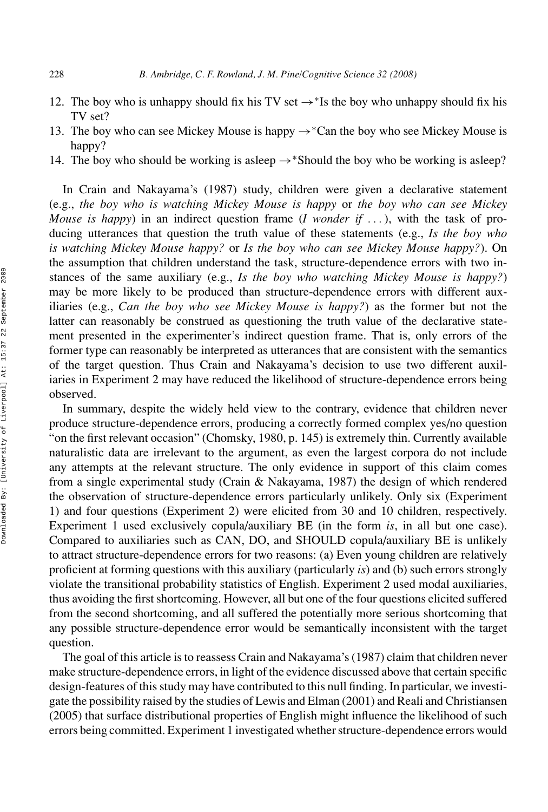- 12. The boy who is unhappy should fix his TV set  $\rightarrow$ <sup>\*</sup>Is the boy who unhappy should fix his TV set?
- 13. The boy who can see Mickey Mouse is happy  $\rightarrow$ \*Can the boy who see Mickey Mouse is happy?
- 14. The boy who should be working is asleep  $\rightarrow$  \*Should the boy who be working is asleep?

In Crain and Nakayama's (1987) study, children were given a declarative statement (e.g., *the boy who is watching Mickey Mouse is happy* or *the boy who can see Mickey Mouse is happy*) in an indirect question frame (*I wonder if . . .* ), with the task of producing utterances that question the truth value of these statements (e.g., *Is the boy who is watching Mickey Mouse happy?* or *Is the boy who can see Mickey Mouse happy?*). On the assumption that children understand the task, structure-dependence errors with two instances of the same auxiliary (e.g., *Is the boy who watching Mickey Mouse is happy?*) may be more likely to be produced than structure-dependence errors with different auxiliaries (e.g., *Can the boy who see Mickey Mouse is happy?*) as the former but not the latter can reasonably be construed as questioning the truth value of the declarative statement presented in the experimenter's indirect question frame. That is, only errors of the former type can reasonably be interpreted as utterances that are consistent with the semantics of the target question. Thus Crain and Nakayama's decision to use two different auxiliaries in Experiment 2 may have reduced the likelihood of structure-dependence errors being observed.

In summary, despite the widely held view to the contrary, evidence that children never produce structure-dependence errors, producing a correctly formed complex yes/no question "on the first relevant occasion" (Chomsky, 1980, p. 145) is extremely thin. Currently available naturalistic data are irrelevant to the argument, as even the largest corpora do not include any attempts at the relevant structure. The only evidence in support of this claim comes from a single experimental study (Crain & Nakayama, 1987) the design of which rendered the observation of structure-dependence errors particularly unlikely. Only six (Experiment 1) and four questions (Experiment 2) were elicited from 30 and 10 children, respectively. Experiment 1 used exclusively copula/auxiliary BE (in the form *is*, in all but one case). Compared to auxiliaries such as CAN, DO, and SHOULD copula/auxiliary BE is unlikely to attract structure-dependence errors for two reasons: (a) Even young children are relatively proficient at forming questions with this auxiliary (particularly *is*) and (b) such errors strongly violate the transitional probability statistics of English. Experiment 2 used modal auxiliaries, thus avoiding the first shortcoming. However, all but one of the four questions elicited suffered from the second shortcoming, and all suffered the potentially more serious shortcoming that any possible structure-dependence error would be semantically inconsistent with the target question.

The goal of this article is to reassess Crain and Nakayama's (1987) claim that children never make structure-dependence errors, in light of the evidence discussed above that certain specific design-features of this study may have contributed to this null finding. In particular, we investigate the possibility raised by the studies of Lewis and Elman (2001) and Reali and Christiansen (2005) that surface distributional properties of English might influence the likelihood of such errors being committed. Experiment 1 investigated whether structure-dependence errors would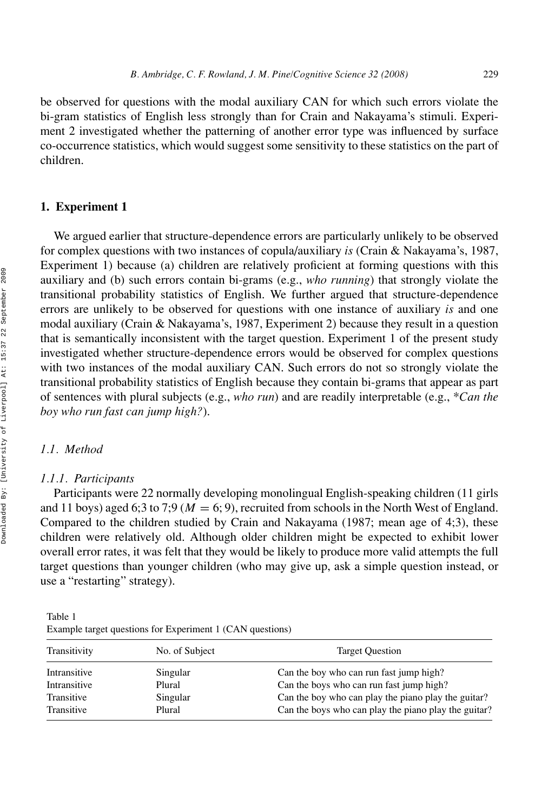be observed for questions with the modal auxiliary CAN for which such errors violate the bi-gram statistics of English less strongly than for Crain and Nakayama's stimuli. Experiment 2 investigated whether the patterning of another error type was influenced by surface co-occurrence statistics, which would suggest some sensitivity to these statistics on the part of children.

#### **1. Experiment 1**

We argued earlier that structure-dependence errors are particularly unlikely to be observed for complex questions with two instances of copula/auxiliary *is* (Crain & Nakayama's, 1987, Experiment 1) because (a) children are relatively proficient at forming questions with this auxiliary and (b) such errors contain bi-grams (e.g., *who running*) that strongly violate the transitional probability statistics of English. We further argued that structure-dependence errors are unlikely to be observed for questions with one instance of auxiliary *is* and one modal auxiliary (Crain & Nakayama's, 1987, Experiment 2) because they result in a question that is semantically inconsistent with the target question. Experiment 1 of the present study investigated whether structure-dependence errors would be observed for complex questions with two instances of the modal auxiliary CAN. Such errors do not so strongly violate the transitional probability statistics of English because they contain bi-grams that appear as part of sentences with plural subjects (e.g., *who run*) and are readily interpretable (e.g., \**Can the boy who run fast can jump high?*).

#### *1.1. Method*

#### *1.1.1. Participants*

Participants were 22 normally developing monolingual English-speaking children (11 girls and 11 boys) aged 6;3 to 7;9 ( $M = 6$ ; 9), recruited from schools in the North West of England. Compared to the children studied by Crain and Nakayama (1987; mean age of 4;3), these children were relatively old. Although older children might be expected to exhibit lower overall error rates, it was felt that they would be likely to produce more valid attempts the full target questions than younger children (who may give up, ask a simple question instead, or use a "restarting" strategy).

| Table 1                                                   |
|-----------------------------------------------------------|
| Example target questions for Experiment 1 (CAN questions) |

| Transitivity | No. of Subject | <b>Target Question</b>                               |
|--------------|----------------|------------------------------------------------------|
| Intransitive | Singular       | Can the boy who can run fast jump high?              |
| Intransitive | Plural         | Can the boys who can run fast jump high?             |
| Transitive   | Singular       | Can the boy who can play the piano play the guitar?  |
| Transitive   | Plural         | Can the boys who can play the piano play the guitar? |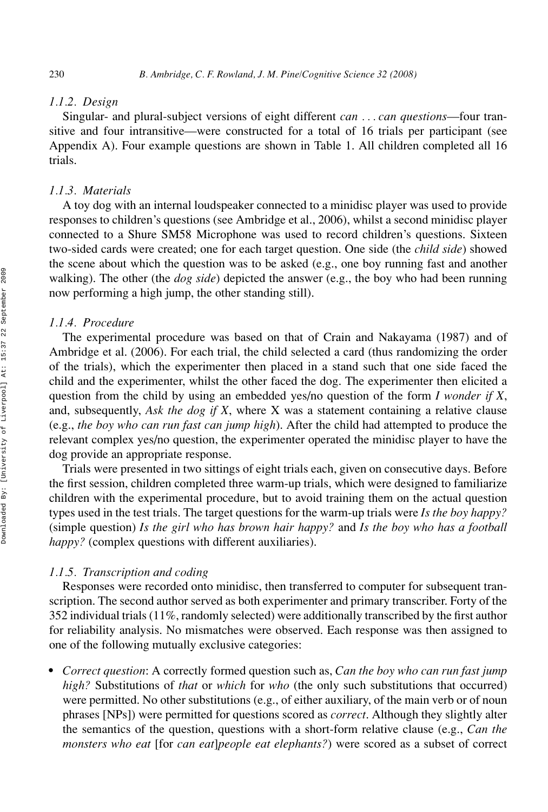#### *1.1.2. Design*

Singular- and plural-subject versions of eight different *can . . . can questions*—four transitive and four intransitive—were constructed for a total of 16 trials per participant (see Appendix A). Four example questions are shown in Table 1. All children completed all 16 trials.

#### *1.1.3. Materials*

A toy dog with an internal loudspeaker connected to a minidisc player was used to provide responses to children's questions (see Ambridge et al., 2006), whilst a second minidisc player connected to a Shure SM58 Microphone was used to record children's questions. Sixteen two-sided cards were created; one for each target question. One side (the *child side*) showed the scene about which the question was to be asked (e.g., one boy running fast and another walking). The other (the *dog side*) depicted the answer (e.g., the boy who had been running now performing a high jump, the other standing still).

#### *1.1.4. Procedure*

The experimental procedure was based on that of Crain and Nakayama (1987) and of Ambridge et al. (2006). For each trial, the child selected a card (thus randomizing the order of the trials), which the experimenter then placed in a stand such that one side faced the child and the experimenter, whilst the other faced the dog. The experimenter then elicited a question from the child by using an embedded yes/no question of the form *I wonder if X*, and, subsequently, *Ask the dog if X*, where X was a statement containing a relative clause (e.g., *the boy who can run fast can jump high*). After the child had attempted to produce the relevant complex yes/no question, the experimenter operated the minidisc player to have the dog provide an appropriate response.

Trials were presented in two sittings of eight trials each, given on consecutive days. Before the first session, children completed three warm-up trials, which were designed to familiarize children with the experimental procedure, but to avoid training them on the actual question types used in the test trials. The target questions for the warm-up trials were *Is the boy happy?* (simple question) *Is the girl who has brown hair happy?* and *Is the boy who has a football happy?* (complex questions with different auxiliaries).

#### *1.1.5. Transcription and coding*

Responses were recorded onto minidisc, then transferred to computer for subsequent transcription. The second author served as both experimenter and primary transcriber. Forty of the 352 individual trials (11%, randomly selected) were additionally transcribed by the first author for reliability analysis. No mismatches were observed. Each response was then assigned to one of the following mutually exclusive categories:

 *Correct question*: A correctly formed question such as, *Can the boy who can run fast jump high?* Substitutions of *that* or *which* for *who* (the only such substitutions that occurred) were permitted. No other substitutions (e.g., of either auxiliary, of the main verb or of noun phrases [NPs]) were permitted for questions scored as *correct*. Although they slightly alter the semantics of the question, questions with a short-form relative clause (e.g., *Can the monsters who eat* [for *can eat*]*people eat elephants?*) were scored as a subset of correct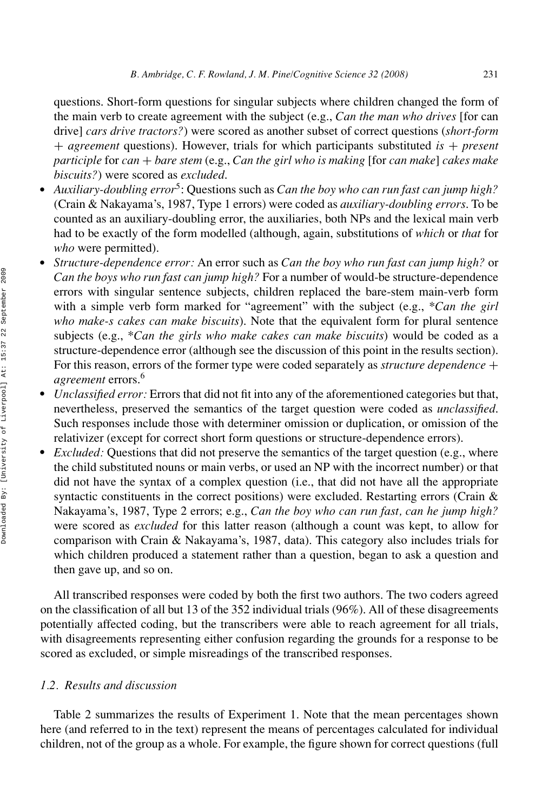questions. Short-form questions for singular subjects where children changed the form of the main verb to create agreement with the subject (e.g., *Can the man who drives* [for can drive] *cars drive tractors?*) were scored as another subset of correct questions (*short-form* + *agreement* questions). However, trials for which participants substituted *is* + *present participle* for *can* + *bare stem* (e.g., *Can the girl who is making* [for *can make*] *cakes make biscuits?*) were scored as *excluded*.

- *Auxiliary-doubling error*5: Questions such as *Can the boy who can run fast can jump high?* (Crain & Nakayama's, 1987, Type 1 errors) were coded as *auxiliary-doubling errors*. To be counted as an auxiliary-doubling error, the auxiliaries, both NPs and the lexical main verb had to be exactly of the form modelled (although, again, substitutions of *which* or *that* for *who* were permitted).
- *Structure-dependence error:* An error such as *Can the boy who run fast can jump high?* or *Can the boys who run fast can jump high?* For a number of would-be structure-dependence errors with singular sentence subjects, children replaced the bare-stem main-verb form with a simple verb form marked for "agreement" with the subject (e.g., \**Can the girl who make-s cakes can make biscuits*). Note that the equivalent form for plural sentence subjects (e.g., \**Can the girls who make cakes can make biscuits*) would be coded as a structure-dependence error (although see the discussion of this point in the results section). For this reason, errors of the former type were coded separately as *structure dependence* + *agreement* errors.6
- *Unclassified error:* Errors that did not fit into any of the aforementioned categories but that, nevertheless, preserved the semantics of the target question were coded as *unclassified*. Such responses include those with determiner omission or duplication, or omission of the relativizer (except for correct short form questions or structure-dependence errors).
- *Excluded:* Questions that did not preserve the semantics of the target question (e.g., where the child substituted nouns or main verbs, or used an NP with the incorrect number) or that did not have the syntax of a complex question (i.e., that did not have all the appropriate syntactic constituents in the correct positions) were excluded. Restarting errors (Crain & Nakayama's, 1987, Type 2 errors; e.g., *Can the boy who can run fast, can he jump high?* were scored as *excluded* for this latter reason (although a count was kept, to allow for comparison with Crain & Nakayama's, 1987, data). This category also includes trials for which children produced a statement rather than a question, began to ask a question and then gave up, and so on.

All transcribed responses were coded by both the first two authors. The two coders agreed on the classification of all but 13 of the 352 individual trials (96%). All of these disagreements potentially affected coding, but the transcribers were able to reach agreement for all trials, with disagreements representing either confusion regarding the grounds for a response to be scored as excluded, or simple misreadings of the transcribed responses.

# *1.2. Results and discussion*

Table 2 summarizes the results of Experiment 1. Note that the mean percentages shown here (and referred to in the text) represent the means of percentages calculated for individual children, not of the group as a whole. For example, the figure shown for correct questions (full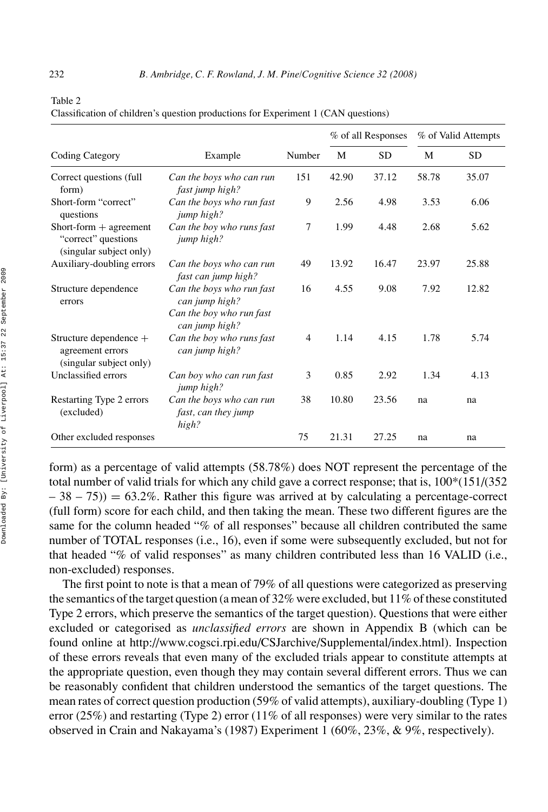| abie |  |
|------|--|

|                                                                            |                                                                                           |                |       | % of all Responses |       | % of Valid Attempts |
|----------------------------------------------------------------------------|-------------------------------------------------------------------------------------------|----------------|-------|--------------------|-------|---------------------|
| <b>Coding Category</b>                                                     | Example                                                                                   | Number         | M     | <b>SD</b>          | M     | <b>SD</b>           |
| Correct questions (full<br>form)                                           | Can the boys who can run<br>fast jump high?                                               | 151            | 42.90 | 37.12              | 58.78 | 35.07               |
| Short-form "correct"<br>questions                                          | Can the boys who run fast<br>jump high?                                                   | 9              | 2.56  | 4.98               | 3.53  | 6.06                |
| Short-form $+$ agreement<br>"correct" questions<br>(singular subject only) | Can the boy who runs fast<br>jump high?                                                   | 7              | 1.99  | 4.48               | 2.68  | 5.62                |
| Auxiliary-doubling errors                                                  | Can the boys who can run<br>fast can jump high?                                           | 49             | 13.92 | 16.47              | 23.97 | 25.88               |
| Structure dependence<br>errors                                             | Can the boys who run fast<br>can jump high?<br>Can the boy who run fast<br>can jump high? | 16             | 4.55  | 9.08               | 7.92  | 12.82               |
| Structure dependence +<br>agreement errors<br>(singular subject only)      | Can the boy who runs fast<br>can jump high?                                               | $\overline{4}$ | 1.14  | 4.15               | 1.78  | 5.74                |
| Unclassified errors                                                        | Can boy who can run fast<br>jump high?                                                    | 3              | 0.85  | 2.92               | 1.34  | 4.13                |
| Restarting Type 2 errors<br>(excluded)                                     | Can the boys who can run<br>fast, can they jump<br>high?                                  | 38             | 10.80 | 23.56              | na    | na                  |
| Other excluded responses                                                   |                                                                                           | 75             | 21.31 | 27.25              | na    | na                  |

| Classification of children's question productions for Experiment 1 (CAN questions) |  |  |  |
|------------------------------------------------------------------------------------|--|--|--|
|------------------------------------------------------------------------------------|--|--|--|

form) as a percentage of valid attempts (58.78%) does NOT represent the percentage of the total number of valid trials for which any child gave a correct response; that is, 100\*(151/(352  $-38 - 75$ ) = 63.2%. Rather this figure was arrived at by calculating a percentage-correct (full form) score for each child, and then taking the mean. These two different figures are the same for the column headed "% of all responses" because all children contributed the same number of TOTAL responses (i.e., 16), even if some were subsequently excluded, but not for that headed "% of valid responses" as many children contributed less than 16 VALID (i.e., non-excluded) responses.

The first point to note is that a mean of 79% of all questions were categorized as preserving the semantics of the target question (a mean of  $32\%$  were excluded, but  $11\%$  of these constituted Type 2 errors, which preserve the semantics of the target question). Questions that were either excluded or categorised as *unclassified errors* are shown in Appendix B (which can be found online at http://www.cogsci.rpi.edu/CSJarchive/Supplemental/index.html). Inspection of these errors reveals that even many of the excluded trials appear to constitute attempts at the appropriate question, even though they may contain several different errors. Thus we can be reasonably confident that children understood the semantics of the target questions. The mean rates of correct question production (59% of valid attempts), auxiliary-doubling (Type 1) error (25%) and restarting (Type 2) error (11% of all responses) were very similar to the rates observed in Crain and Nakayama's (1987) Experiment 1 (60%, 23%, & 9%, respectively).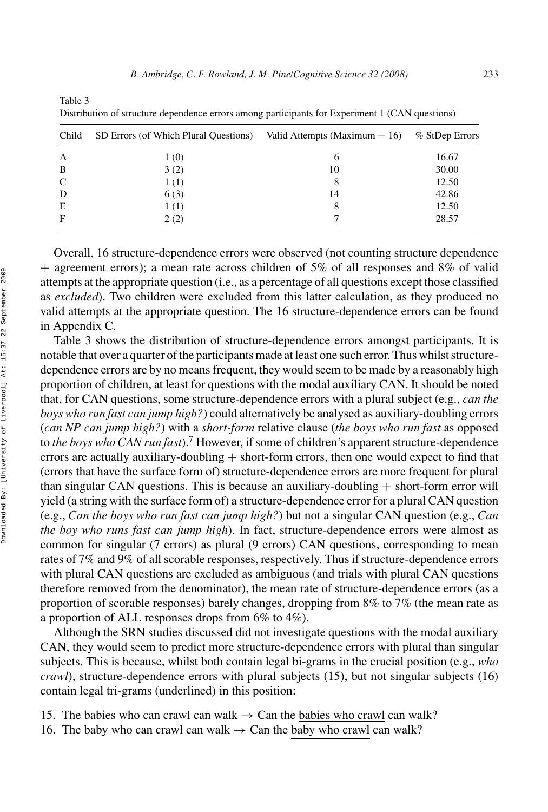| Child | SD Errors (of Which Plural Questions) Valid Attempts (Maximum $= 16$ ) % StDep Errors |    |       |
|-------|---------------------------------------------------------------------------------------|----|-------|
| A     | 1 (0)                                                                                 | 6  | 16.67 |
| B     | 3(2)                                                                                  | 10 | 30.00 |
| C     | 1(1)                                                                                  |    | 12.50 |
| D     | 6(3)                                                                                  | 14 | 42.86 |
| Ε     | 1 (1)                                                                                 |    | 12.50 |
| F     | 2(2)                                                                                  |    | 28.57 |
|       |                                                                                       |    |       |

Table 3 Distribution of structure dependence errors among participants for Experiment 1 (CAN questions)

Overall, 16 structure-dependence errors were observed (not counting structure dependence  $+$  agreement errors); a mean rate across children of 5% of all responses and 8% of valid attempts at the appropriate question (i.e., as a percentage of all questions except those classified as *excluded*). Two children were excluded from this latter calculation, as they produced no valid attempts at the appropriate question. The 16 structure-dependence errors can be found in Appendix C.

Table 3 shows the distribution of structure-dependence errors amongst participants. It is notable that over a quarter of the participants made at least one such error. Thus whilst structuredependence errors are by no means frequent, they would seem to be made by a reasonably high proportion of children, at least for questions with the modal auxiliary CAN. It should be noted that, for CAN questions, some structure-dependence errors with a plural subject (e.g., *can the boys who run fast can jump high?*) could alternatively be analysed as auxiliary-doubling errors (*can NP can jump high?*) with a *short-form* relative clause (*the boys who run fast* as opposed to *the boys who CAN run fast*).7 However, if some of children's apparent structure-dependence errors are actually auxiliary-doubling + short-form errors, then one would expect to find that (errors that have the surface form of) structure-dependence errors are more frequent for plural than singular CAN questions. This is because an auxiliary-doubling  $+$  short-form error will yield (a string with the surface form of) a structure-dependence error for a plural CAN question (e.g., *Can the boys who run fast can jump high?*) but not a singular CAN question (e.g., *Can the boy who runs fast can jump high*). In fact, structure-dependence errors were almost as common for singular (7 errors) as plural (9 errors) CAN questions, corresponding to mean rates of 7% and 9% of all scorable responses, respectively. Thus if structure-dependence errors with plural CAN questions are excluded as ambiguous (and trials with plural CAN questions therefore removed from the denominator), the mean rate of structure-dependence errors (as a proportion of scorable responses) barely changes, dropping from 8% to 7% (the mean rate as a proportion of ALL responses drops from 6% to 4%).

Although the SRN studies discussed did not investigate questions with the modal auxiliary CAN, they would seem to predict more structure-dependence errors with plural than singular subjects. This is because, whilst both contain legal bi-grams in the crucial position (e.g., *who crawl*), structure-dependence errors with plural subjects (15), but not singular subjects (16) contain legal tri-grams (underlined) in this position:

- 15. The babies who can crawl can walk  $\rightarrow$  Can the babies who crawl can walk?
- 16. The baby who can crawl can walk  $\rightarrow$  Can the baby who crawl can walk?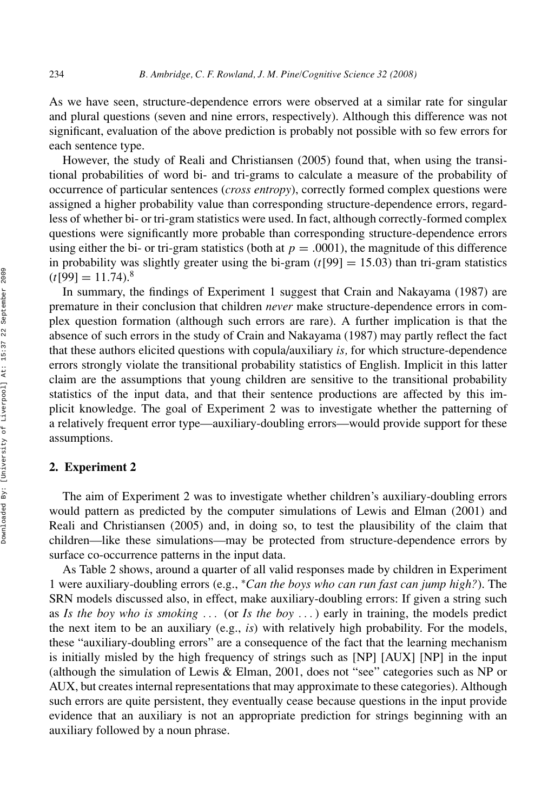As we have seen, structure-dependence errors were observed at a similar rate for singular and plural questions (seven and nine errors, respectively). Although this difference was not significant, evaluation of the above prediction is probably not possible with so few errors for each sentence type.

However, the study of Reali and Christiansen (2005) found that, when using the transitional probabilities of word bi- and tri-grams to calculate a measure of the probability of occurrence of particular sentences (*cross entropy*), correctly formed complex questions were assigned a higher probability value than corresponding structure-dependence errors, regardless of whether bi- or tri-gram statistics were used. In fact, although correctly-formed complex questions were significantly more probable than corresponding structure-dependence errors using either the bi- or tri-gram statistics (both at  $p = .0001$ ), the magnitude of this difference in probability was slightly greater using the bi-gram  $(t[99] = 15.03)$  than tri-gram statistics  $(t[99] = 11.74$ .<sup>8</sup>

In summary, the findings of Experiment 1 suggest that Crain and Nakayama (1987) are premature in their conclusion that children *never* make structure-dependence errors in complex question formation (although such errors are rare). A further implication is that the absence of such errors in the study of Crain and Nakayama (1987) may partly reflect the fact that these authors elicited questions with copula/auxiliary *is,* for which structure-dependence errors strongly violate the transitional probability statistics of English. Implicit in this latter claim are the assumptions that young children are sensitive to the transitional probability statistics of the input data, and that their sentence productions are affected by this implicit knowledge. The goal of Experiment 2 was to investigate whether the patterning of a relatively frequent error type—auxiliary-doubling errors—would provide support for these assumptions.

#### **2. Experiment 2**

The aim of Experiment 2 was to investigate whether children's auxiliary-doubling errors would pattern as predicted by the computer simulations of Lewis and Elman (2001) and Reali and Christiansen (2005) and, in doing so, to test the plausibility of the claim that children—like these simulations—may be protected from structure-dependence errors by surface co-occurrence patterns in the input data.

As Table 2 shows, around a quarter of all valid responses made by children in Experiment 1 were auxiliary-doubling errors (e.g., <sup>∗</sup>*Can the boys who can run fast can jump high?*). The SRN models discussed also, in effect, make auxiliary-doubling errors: If given a string such as *Is the boy who is smoking . . .* (or *Is the boy . . .* ) early in training, the models predict the next item to be an auxiliary (e.g., *is*) with relatively high probability. For the models, these "auxiliary-doubling errors" are a consequence of the fact that the learning mechanism is initially misled by the high frequency of strings such as [NP] [AUX] [NP] in the input (although the simulation of Lewis & Elman, 2001, does not "see" categories such as NP or AUX, but creates internal representations that may approximate to these categories). Although such errors are quite persistent, they eventually cease because questions in the input provide evidence that an auxiliary is not an appropriate prediction for strings beginning with an auxiliary followed by a noun phrase.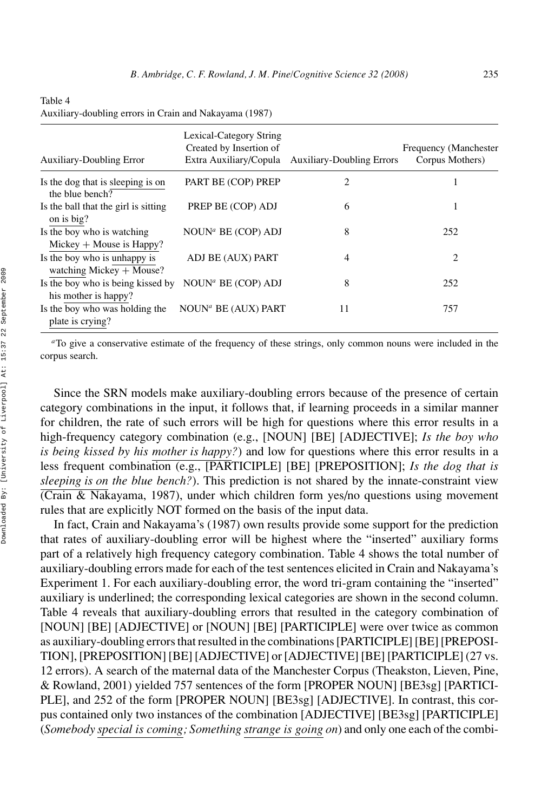| <b>Auxiliary-Doubling Error</b>                            | Lexical-Category String<br>Created by Insertion of<br>Extra Auxiliary/Copula | <b>Auxiliary-Doubling Errors</b> | Frequency (Manchester<br>Corpus Mothers) |
|------------------------------------------------------------|------------------------------------------------------------------------------|----------------------------------|------------------------------------------|
| Is the dog that is sleeping is on<br>the blue bench?       | PART BE (COP) PREP                                                           | 2                                |                                          |
| Is the ball that the girl is sitting<br>on is big?         | PREP BE (COP) ADJ                                                            | 6                                | 1                                        |
| Is the boy who is watching<br>Mickey $+$ Mouse is Happy?   | NOUN <sup>a</sup> BE (COP) ADJ                                               | 8                                | 252                                      |
| Is the boy who is unhappy is<br>watching Mickey $+$ Mouse? | ADJ BE (AUX) PART                                                            | 4                                | 2                                        |
| Is the boy who is being kissed by<br>his mother is happy?  | NOUN <sup>a</sup> BE (COP) ADJ                                               | 8                                | 252                                      |
| Is the boy who was holding the<br>plate is crying?         | NOUN <sup>a</sup> BE (AUX) PART                                              | 11                               | 757                                      |

Auxiliary-doubling errors in Crain and Nakayama (1987)

*<sup>a</sup>*To give a conservative estimate of the frequency of these strings, only common nouns were included in the corpus search.

Since the SRN models make auxiliary-doubling errors because of the presence of certain category combinations in the input, it follows that, if learning proceeds in a similar manner for children, the rate of such errors will be high for questions where this error results in a high-frequency category combination (e.g., [NOUN] [BE] [ADJECTIVE]; *Is the boy who is being kissed by his mother is happy?*) and low for questions where this error results in a less frequent combination (e.g., [PARTICIPLE] [BE] [PREPOSITION]; *Is the dog that is sleeping is on the blue bench?*). This prediction is not shared by the innate-constraint view (Crain & Nakayama, 1987), under which children form yes/no questions using movement rules that are explicitly NOT formed on the basis of the input data.

In fact, Crain and Nakayama's (1987) own results provide some support for the prediction that rates of auxiliary-doubling error will be highest where the "inserted" auxiliary forms part of a relatively high frequency category combination. Table 4 shows the total number of auxiliary-doubling errors made for each of the test sentences elicited in Crain and Nakayama's Experiment 1. For each auxiliary-doubling error, the word tri-gram containing the "inserted" auxiliary is underlined; the corresponding lexical categories are shown in the second column. Table 4 reveals that auxiliary-doubling errors that resulted in the category combination of [NOUN] [BE] [ADJECTIVE] or [NOUN] [BE] [PARTICIPLE] were over twice as common as auxiliary-doubling errors that resulted in the combinations [PARTICIPLE] [BE] [PREPOSI-TION], [PREPOSITION] [BE] [ADJECTIVE] or [ADJECTIVE] [BE] [PARTICIPLE] (27 vs. 12 errors). A search of the maternal data of the Manchester Corpus (Theakston, Lieven, Pine, & Rowland, 2001) yielded 757 sentences of the form [PROPER NOUN] [BE3sg] [PARTICI-PLE], and 252 of the form [PROPER NOUN] [BE3sg] [ADJECTIVE]. In contrast, this corpus contained only two instances of the combination [ADJECTIVE] [BE3sg] [PARTICIPLE] (*Somebody special is coming; Something strange is going on*) and only one each of the combi-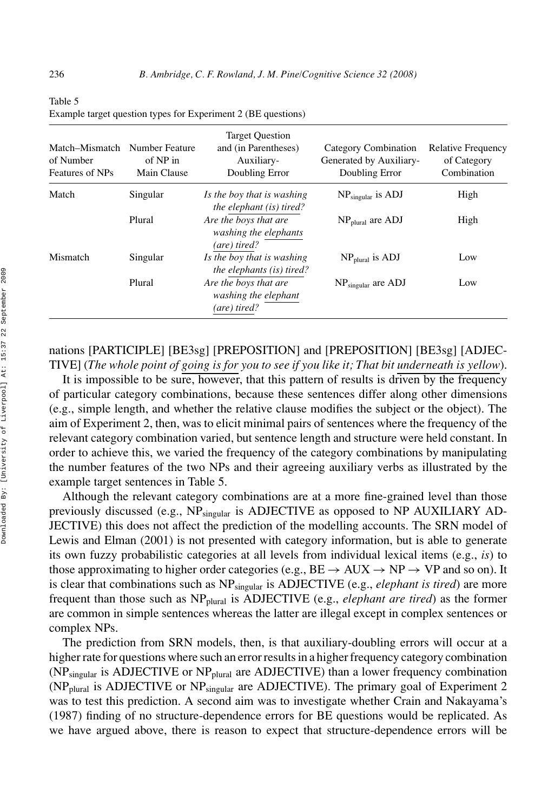| Match–Mismatch<br>of Number<br><b>Features of NPs</b> | Number Feature<br>of NP in<br>Main Clause | <b>Target Question</b><br>and (in Parentheses)<br>Auxiliary-<br>Doubling Error | Category Combination<br>Generated by Auxiliary-<br>Doubling Error | <b>Relative Frequency</b><br>of Category<br>Combination |
|-------------------------------------------------------|-------------------------------------------|--------------------------------------------------------------------------------|-------------------------------------------------------------------|---------------------------------------------------------|
| Match                                                 | Singular                                  | Is the boy that is washing<br><i>the elephant (is) tired?</i>                  | $NP_{singular}$ is ADJ                                            | High                                                    |
|                                                       | Plural                                    | Are the boys that are<br>washing the elephants<br>(are) tired?                 | $NP_{\text{plural}}$ are ADJ                                      | High                                                    |
| Mismatch                                              | Singular                                  | Is the boy that is washing<br><i>the elephants (is) tired?</i>                 | $NPplural$ is ADJ                                                 | Low                                                     |
|                                                       | Plural                                    | Are the boys that are<br>washing the elephant<br>(are) tired?                  | $NPsingular$ are ADJ                                              | Low                                                     |

Table 5 Example target question types for Experiment 2 (BE questions)

nations [PARTICIPLE] [BE3sg] [PREPOSITION] and [PREPOSITION] [BE3sg] [ADJEC-TIVE] (*The whole point of going is for you to see if you like it; That bit underneath is yellow*).

It is impossible to be sure, however, that this pattern of results is driven by the frequency of particular category combinations, because these sentences differ along other dimensions (e.g., simple length, and whether the relative clause modifies the subject or the object). The aim of Experiment 2, then, was to elicit minimal pairs of sentences where the frequency of the relevant category combination varied, but sentence length and structure were held constant. In order to achieve this, we varied the frequency of the category combinations by manipulating the number features of the two NPs and their agreeing auxiliary verbs as illustrated by the example target sentences in Table 5.

Although the relevant category combinations are at a more fine-grained level than those previously discussed (e.g., NPsingular is ADJECTIVE as opposed to NP AUXILIARY AD-JECTIVE) this does not affect the prediction of the modelling accounts. The SRN model of Lewis and Elman (2001) is not presented with category information, but is able to generate its own fuzzy probabilistic categories at all levels from individual lexical items (e.g., *is*) to those approximating to higher order categories (e.g.,  $BE \rightarrow AUX \rightarrow NP \rightarrow VP$  and so on). It is clear that combinations such as NP<sub>singular</sub> is ADJECTIVE (e.g., *elephant is tired*) are more frequent than those such as NPplural is ADJECTIVE (e.g., *elephant are tired*) as the former are common in simple sentences whereas the latter are illegal except in complex sentences or complex NPs.

The prediction from SRN models, then, is that auxiliary-doubling errors will occur at a higher rate for questions where such an error results in a higher frequency category combination ( $NP_{singular}$  is ADJECTIVE or  $NP_{plural}$  are ADJECTIVE) than a lower frequency combination ( $NP<sub>plural</sub>$  is ADJECTIVE or  $NP<sub>singular</sub>$  are ADJECTIVE). The primary goal of Experiment 2 was to test this prediction. A second aim was to investigate whether Crain and Nakayama's (1987) finding of no structure-dependence errors for BE questions would be replicated. As we have argued above, there is reason to expect that structure-dependence errors will be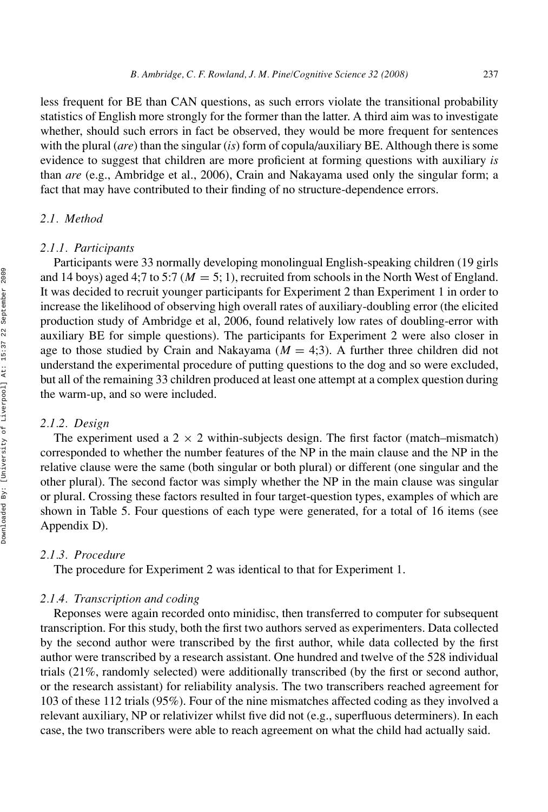less frequent for BE than CAN questions, as such errors violate the transitional probability statistics of English more strongly for the former than the latter. A third aim was to investigate whether, should such errors in fact be observed, they would be more frequent for sentences with the plural (*are*) than the singular (*is*) form of copula/auxiliary BE. Although there is some evidence to suggest that children are more proficient at forming questions with auxiliary *is* than *are* (e.g., Ambridge et al., 2006), Crain and Nakayama used only the singular form; a fact that may have contributed to their finding of no structure-dependence errors.

#### *2.1. Method*

#### *2.1.1. Participants*

Participants were 33 normally developing monolingual English-speaking children (19 girls and 14 boys) aged 4;7 to 5:7 ( $M = 5$ ; 1), recruited from schools in the North West of England. It was decided to recruit younger participants for Experiment 2 than Experiment 1 in order to increase the likelihood of observing high overall rates of auxiliary-doubling error (the elicited production study of Ambridge et al, 2006, found relatively low rates of doubling-error with auxiliary BE for simple questions). The participants for Experiment 2 were also closer in age to those studied by Crain and Nakayama  $(M = 4,3)$ . A further three children did not understand the experimental procedure of putting questions to the dog and so were excluded, but all of the remaining 33 children produced at least one attempt at a complex question during the warm-up, and so were included.

#### *2.1.2. Design*

The experiment used a  $2 \times 2$  within-subjects design. The first factor (match–mismatch) corresponded to whether the number features of the NP in the main clause and the NP in the relative clause were the same (both singular or both plural) or different (one singular and the other plural). The second factor was simply whether the NP in the main clause was singular or plural. Crossing these factors resulted in four target-question types, examples of which are shown in Table 5. Four questions of each type were generated, for a total of 16 items (see Appendix D).

#### *2.1.3. Procedure*

The procedure for Experiment 2 was identical to that for Experiment 1.

#### *2.1.4. Transcription and coding*

Reponses were again recorded onto minidisc, then transferred to computer for subsequent transcription. For this study, both the first two authors served as experimenters. Data collected by the second author were transcribed by the first author, while data collected by the first author were transcribed by a research assistant. One hundred and twelve of the 528 individual trials (21%, randomly selected) were additionally transcribed (by the first or second author, or the research assistant) for reliability analysis. The two transcribers reached agreement for 103 of these 112 trials (95%). Four of the nine mismatches affected coding as they involved a relevant auxiliary, NP or relativizer whilst five did not (e.g., superfluous determiners). In each case, the two transcribers were able to reach agreement on what the child had actually said.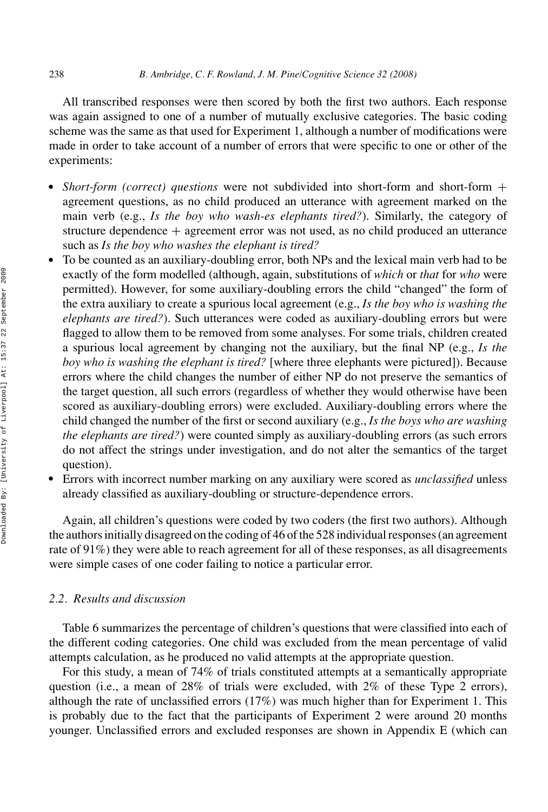All transcribed responses were then scored by both the first two authors. Each response was again assigned to one of a number of mutually exclusive categories. The basic coding scheme was the same as that used for Experiment 1, although a number of modifications were made in order to take account of a number of errors that were specific to one or other of the experiments:

- *Short-form (correct) questions* were not subdivided into short-form and short-form + agreement questions, as no child produced an utterance with agreement marked on the main verb (e.g., *Is the boy who wash-es elephants tired?*). Similarly, the category of structure dependence + agreement error was not used, as no child produced an utterance such as *Is the boy who washes the elephant is tired?*
- To be counted as an auxiliary-doubling error, both NPs and the lexical main verb had to be exactly of the form modelled (although, again, substitutions of *which* or *that* for *who* were permitted). However, for some auxiliary-doubling errors the child "changed" the form of the extra auxiliary to create a spurious local agreement (e.g., *Is the boy who is washing the elephants are tired?*). Such utterances were coded as auxiliary-doubling errors but were flagged to allow them to be removed from some analyses. For some trials, children created a spurious local agreement by changing not the auxiliary, but the final NP (e.g., *Is the boy who is washing the elephant is tired?* [where three elephants were pictured]). Because errors where the child changes the number of either NP do not preserve the semantics of the target question, all such errors (regardless of whether they would otherwise have been scored as auxiliary-doubling errors) were excluded. Auxiliary-doubling errors where the child changed the number of the first or second auxiliary (e.g., *Is the boys who are washing the elephants are tired?*) were counted simply as auxiliary-doubling errors (as such errors do not affect the strings under investigation, and do not alter the semantics of the target question).
- Errors with incorrect number marking on any auxiliary were scored as *unclassified* unless already classified as auxiliary-doubling or structure-dependence errors.

Again, all children's questions were coded by two coders (the first two authors). Although the authors initially disagreed on the coding of 46 of the 528 individual responses (an agreement rate of 91%) they were able to reach agreement for all of these responses, as all disagreements were simple cases of one coder failing to notice a particular error.

# *2.2. Results and discussion*

Table 6 summarizes the percentage of children's questions that were classified into each of the different coding categories. One child was excluded from the mean percentage of valid attempts calculation, as he produced no valid attempts at the appropriate question.

For this study, a mean of 74% of trials constituted attempts at a semantically appropriate question (i.e., a mean of 28% of trials were excluded, with 2% of these Type 2 errors), although the rate of unclassified errors (17%) was much higher than for Experiment 1. This is probably due to the fact that the participants of Experiment 2 were around 20 months younger. Unclassified errors and excluded responses are shown in Appendix E (which can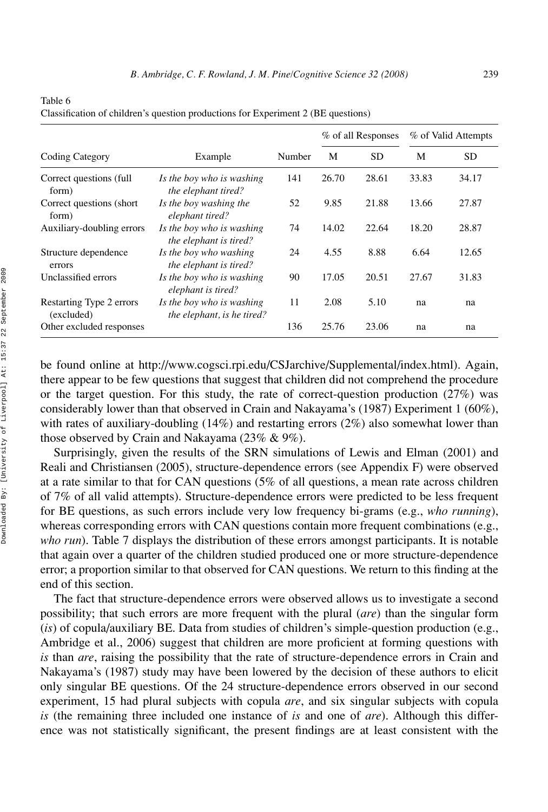|                                        |                                                         |        |       | % of all Responses |       | % of Valid Attempts |
|----------------------------------------|---------------------------------------------------------|--------|-------|--------------------|-------|---------------------|
| Coding Category                        | Example                                                 | Number | М     | SD.                | M     | SD.                 |
| Correct questions (full<br>form)       | Is the boy who is washing<br>the elephant tired?        | 141    | 26.70 | 28.61              | 33.83 | 34.17               |
| Correct questions (short)<br>form)     | Is the boy washing the<br>elephant tired?               | 52     | 9.85  | 21.88              | 13.66 | 27.87               |
| Auxiliary-doubling errors              | Is the boy who is washing<br>the elephant is tired?     | 74     | 14.02 | 22.64              | 18.20 | 28.87               |
| Structure dependence<br>errors         | Is the boy who washing<br>the elephant is tired?        | 24     | 4.55  | 8.88               | 6.64  | 12.65               |
| Unclassified errors                    | Is the boy who is washing<br>elephant is tired?         | 90     | 17.05 | 20.51              | 27.67 | 31.83               |
| Restarting Type 2 errors<br>(excluded) | Is the boy who is washing<br>the elephant, is he tired? | 11     | 2.08  | 5.10               | na    | na                  |
| Other excluded responses               |                                                         | 136    | 25.76 | 23.06              | na    | na                  |

Table 6 Classification of children's question productions for Experiment 2 (BE questions)

be found online at http://www.cogsci.rpi.edu/CSJarchive/Supplemental/index.html). Again, there appear to be few questions that suggest that children did not comprehend the procedure or the target question. For this study, the rate of correct-question production  $(27%)$  was considerably lower than that observed in Crain and Nakayama's (1987) Experiment 1 (60%), with rates of auxiliary-doubling  $(14%)$  and restarting errors  $(2%)$  also somewhat lower than those observed by Crain and Nakayama (23% & 9%).

Surprisingly, given the results of the SRN simulations of Lewis and Elman (2001) and Reali and Christiansen (2005), structure-dependence errors (see Appendix F) were observed at a rate similar to that for CAN questions (5% of all questions, a mean rate across children of 7% of all valid attempts). Structure-dependence errors were predicted to be less frequent for BE questions, as such errors include very low frequency bi-grams (e.g., *who running*), whereas corresponding errors with CAN questions contain more frequent combinations (e.g., *who run*). Table 7 displays the distribution of these errors amongst participants. It is notable that again over a quarter of the children studied produced one or more structure-dependence error; a proportion similar to that observed for CAN questions. We return to this finding at the end of this section.

The fact that structure-dependence errors were observed allows us to investigate a second possibility; that such errors are more frequent with the plural (*are*) than the singular form (*is*) of copula/auxiliary BE. Data from studies of children's simple-question production (e.g., Ambridge et al., 2006) suggest that children are more proficient at forming questions with *is* than *are*, raising the possibility that the rate of structure-dependence errors in Crain and Nakayama's (1987) study may have been lowered by the decision of these authors to elicit only singular BE questions. Of the 24 structure-dependence errors observed in our second experiment, 15 had plural subjects with copula *are*, and six singular subjects with copula *is* (the remaining three included one instance of *is* and one of *are*). Although this difference was not statistically significant, the present findings are at least consistent with the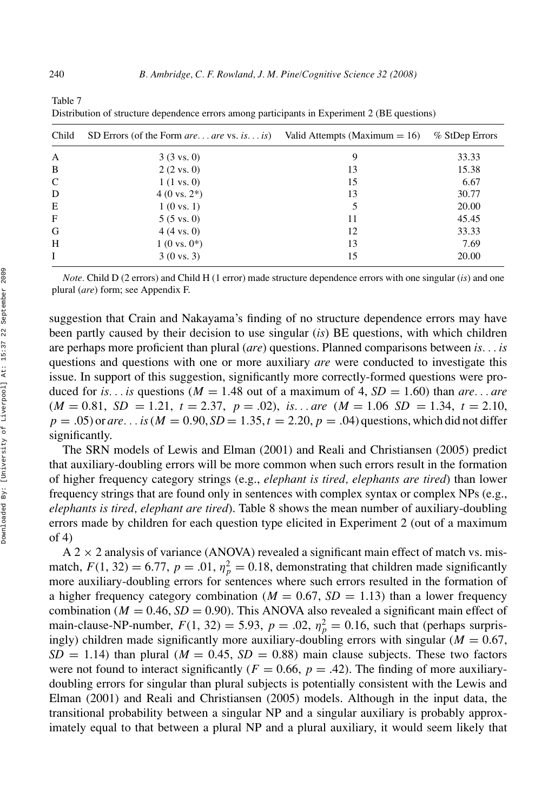| Child        | SD Errors (of the Form <i>are are</i> vs. <i>is is</i> ) | Valid Attempts (Maximum $= 16$ ) | $%$ StDep Errors |
|--------------|----------------------------------------------------------|----------------------------------|------------------|
| A            | $3(3 \text{ vs. } 0)$                                    | 9                                | 33.33            |
| B            | $2(2 \text{ vs. } 0)$                                    | 13                               | 15.38            |
| C            | $1(1 \text{ vs. } 0)$                                    | 15                               | 6.67             |
| D            | $4(0 \text{ vs. } 2^*)$                                  | 13                               | 30.77            |
| E            | $1(0 \text{ vs. } 1)$                                    | 5                                | 20.00            |
| $\mathbf{F}$ | $5(5 \text{ vs. } 0)$                                    | 11                               | 45.45            |
| G            | $4(4 \text{ vs. } 0)$                                    | 12                               | 33.33            |
| H            | $1(0 \text{ vs. } 0^*)$                                  | 13                               | 7.69             |
| I            | $3(0 \text{ vs. } 3)$                                    | 15                               | 20.00            |

Table 7 Distribution of structure dependence errors among participants in Experiment 2 (BE questions)

*Note.* Child D (2 errors) and Child H (1 error) made structure dependence errors with one singular (*is*) and one plural (*are*) form; see Appendix F.

suggestion that Crain and Nakayama's finding of no structure dependence errors may have been partly caused by their decision to use singular (*is*) BE questions, with which children are perhaps more proficient than plural (*are*) questions. Planned comparisons between *is. . . is* questions and questions with one or more auxiliary *are* were conducted to investigate this issue. In support of this suggestion, significantly more correctly-formed questions were produced for *is... is* questions ( $M = 1.48$  out of a maximum of 4,  $SD = 1.60$ ) than *are... are*  $(M = 0.81, SD = 1.21, t = 2.37, p = .02),$  *is...are*  $(M = 1.06, SD = 1.34, t = 2.10,$  $p = .05$  or *are.* . . *is* ( $M = 0.90$ ,  $SD = 1.35$ ,  $t = 2.20$ ,  $p = .04$ ) questions, which did not differ significantly.

The SRN models of Lewis and Elman (2001) and Reali and Christiansen (2005) predict that auxiliary-doubling errors will be more common when such errors result in the formation of higher frequency category strings (e.g., *elephant is tired, elephants are tired*) than lower frequency strings that are found only in sentences with complex syntax or complex NPs (e.g., *elephants is tired, elephant are tired*). Table 8 shows the mean number of auxiliary-doubling errors made by children for each question type elicited in Experiment 2 (out of a maximum of 4)

 $A$  2  $\times$  2 analysis of variance (ANOVA) revealed a significant main effect of match vs. mismatch,  $F(1, 32) = 6.77$ ,  $p = .01$ ,  $\eta_p^2 = 0.18$ , demonstrating that children made significantly more auxiliary-doubling errors for sentences where such errors resulted in the formation of a higher frequency category combination ( $M = 0.67$ ,  $SD = 1.13$ ) than a lower frequency combination ( $M = 0.46$ ,  $SD = 0.90$ ). This ANOVA also revealed a significant main effect of main-clause-NP-number,  $F(1, 32) = 5.93$ ,  $p = .02$ ,  $\eta_p^2 = 0.16$ , such that (perhaps surprisingly) children made significantly more auxiliary-doubling errors with singular ( $M = 0.67$ ,  $SD = 1.14$ ) than plural ( $M = 0.45$ ,  $SD = 0.88$ ) main clause subjects. These two factors were not found to interact significantly ( $F = 0.66$ ,  $p = .42$ ). The finding of more auxiliarydoubling errors for singular than plural subjects is potentially consistent with the Lewis and Elman (2001) and Reali and Christiansen (2005) models. Although in the input data, the transitional probability between a singular NP and a singular auxiliary is probably approximately equal to that between a plural NP and a plural auxiliary, it would seem likely that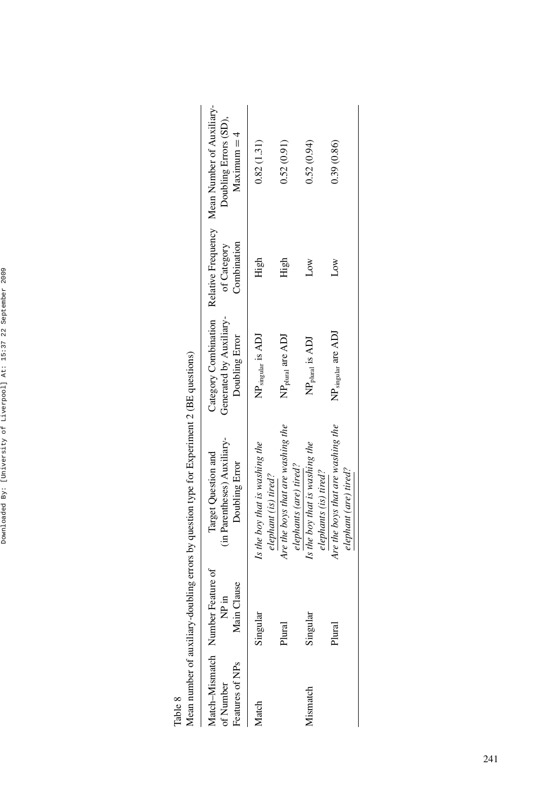| ¢                                            |
|----------------------------------------------|
| ı<br>I<br>Ï<br>۱<br>ׇׇ֘֝֬֡<br>I<br>١         |
| ¢<br>i<br>¢<br>ı                             |
| I<br>¢<br>١<br>Ï<br>١<br>ı                   |
| i                                            |
| i<br>١<br>Ï<br>l<br>I<br>١<br>ı<br>ı<br>l    |
| Ï<br>ı<br>Ï                                  |
| l<br>١<br>ı<br>I<br>í<br>ï<br>ï<br>֚֚֚֬<br>ś |
| ļ<br>l<br>١<br>I                             |
| ç<br>ī<br>Í<br>ï<br>ı                        |

Table 8

|                              |                                                           | (Nean number of auxiliary-doubling errors by question type for Experiment 2 (BE questions |                                           |                            |                                                                                                             |
|------------------------------|-----------------------------------------------------------|-------------------------------------------------------------------------------------------|-------------------------------------------|----------------------------|-------------------------------------------------------------------------------------------------------------|
| Features of NPs<br>of Number | Match-Mismatch Number Feature of<br>Clause<br>È<br>Main C | (in Parentheses) Auxiliary-<br>Target Question and<br>Doubling Error                      | Generated by Auxiliary-<br>Doubling Error | Combination<br>of Category | Category Combination Relative Frequency Mean Number of Auxiliary-<br>Doubling Errors (SD),<br>$Maximum = 4$ |
| Match                        | Singular                                                  | Is the boy that is washing the<br>elephant (is) tired?                                    | $NP_{\text{singular}}$ is ADJ             | High                       | 0.82(1.31)                                                                                                  |
|                              | Plural                                                    | Are the boys that are washing the<br>elephants (are) tired?                               | $NPplural$ are ADJ                        | High                       | 0.52(0.91)                                                                                                  |
| Mismatch                     | Singular                                                  | Is the boy that is washing the<br>elephants (is) tired?                                   | NP <sub>plural</sub> is ADJ               | ŠΣ                         | 0.52(0.94)                                                                                                  |
|                              | Plural                                                    | Are the boys that are washing the<br>elephant (are) tired?                                | $NP_{singular}$ are $ADJ$                 | Low                        | 0.39(0.86)                                                                                                  |

Mean number of auxiliary-doubling errors by question type for Experiment 2 (BE questions)  $740, 64$ É ċ l, ين<br>بان J Ê  $\ddot{\phantom{0}}$ j.

 $\overline{\phantom{a}}$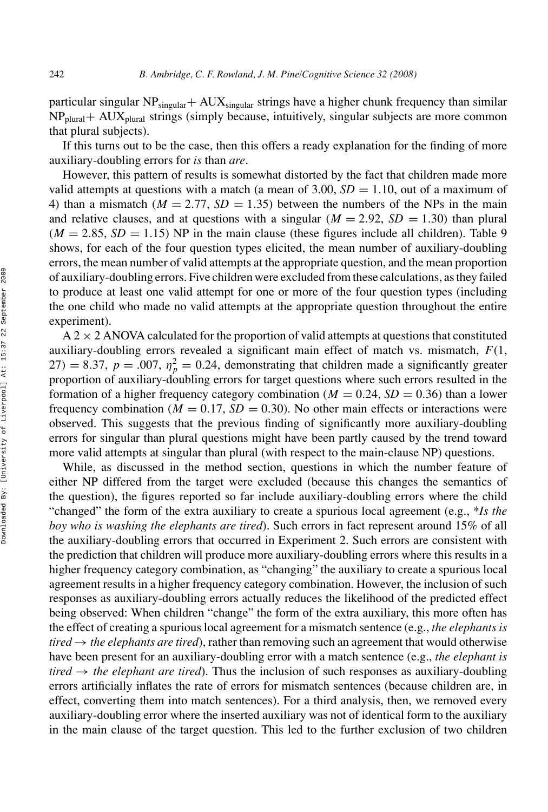particular singular  $NP_{singular} + AUX_{singular}$  strings have a higher chunk frequency than similar  $NP<sub>plural</sub> + AUX<sub>plural</sub> strings (simply because, intuitively, singular subjects are more common$ that plural subjects).

If this turns out to be the case, then this offers a ready explanation for the finding of more auxiliary-doubling errors for *is* than *are*.

However, this pattern of results is somewhat distorted by the fact that children made more valid attempts at questions with a match (a mean of  $3.00$ ,  $SD = 1.10$ , out of a maximum of 4) than a mismatch ( $M = 2.77$ ,  $SD = 1.35$ ) between the numbers of the NPs in the main and relative clauses, and at questions with a singular  $(M = 2.92, SD = 1.30)$  than plural  $(M = 2.85, SD = 1.15)$  NP in the main clause (these figures include all children). Table 9 shows, for each of the four question types elicited, the mean number of auxiliary-doubling errors, the mean number of valid attempts at the appropriate question, and the mean proportion of auxiliary-doubling errors. Five children were excluded from these calculations, as they failed to produce at least one valid attempt for one or more of the four question types (including the one child who made no valid attempts at the appropriate question throughout the entire experiment).

 $A$  2  $\times$  2 ANOVA calculated for the proportion of valid attempts at questions that constituted auxiliary-doubling errors revealed a significant main effect of match vs. mismatch, *F*(1,  $27) = 8.37$ ,  $p = .007$ ,  $\eta_p^2 = 0.24$ , demonstrating that children made a significantly greater proportion of auxiliary-doubling errors for target questions where such errors resulted in the formation of a higher frequency category combination ( $M = 0.24$ ,  $SD = 0.36$ ) than a lower frequency combination ( $M = 0.17$ ,  $SD = 0.30$ ). No other main effects or interactions were observed. This suggests that the previous finding of significantly more auxiliary-doubling errors for singular than plural questions might have been partly caused by the trend toward more valid attempts at singular than plural (with respect to the main-clause NP) questions.

While, as discussed in the method section, questions in which the number feature of either NP differed from the target were excluded (because this changes the semantics of the question), the figures reported so far include auxiliary-doubling errors where the child "changed" the form of the extra auxiliary to create a spurious local agreement (e.g., \**Is the boy who is washing the elephants are tired*). Such errors in fact represent around 15% of all the auxiliary-doubling errors that occurred in Experiment 2. Such errors are consistent with the prediction that children will produce more auxiliary-doubling errors where this results in a higher frequency category combination, as "changing" the auxiliary to create a spurious local agreement results in a higher frequency category combination. However, the inclusion of such responses as auxiliary-doubling errors actually reduces the likelihood of the predicted effect being observed: When children "change" the form of the extra auxiliary, this more often has the effect of creating a spurious local agreement for a mismatch sentence (e.g., *the elephants is*  $tired \rightarrow the \, elements \, are \, tired),$  rather than removing such an agreement that would otherwise have been present for an auxiliary-doubling error with a match sentence (e.g., *the elephant is*  $tired \rightarrow the \, elephant \, are \, tired).$  Thus the inclusion of such responses as auxiliary-doubling errors artificially inflates the rate of errors for mismatch sentences (because children are, in effect, converting them into match sentences). For a third analysis, then, we removed every auxiliary-doubling error where the inserted auxiliary was not of identical form to the auxiliary in the main clause of the target question. This led to the further exclusion of two children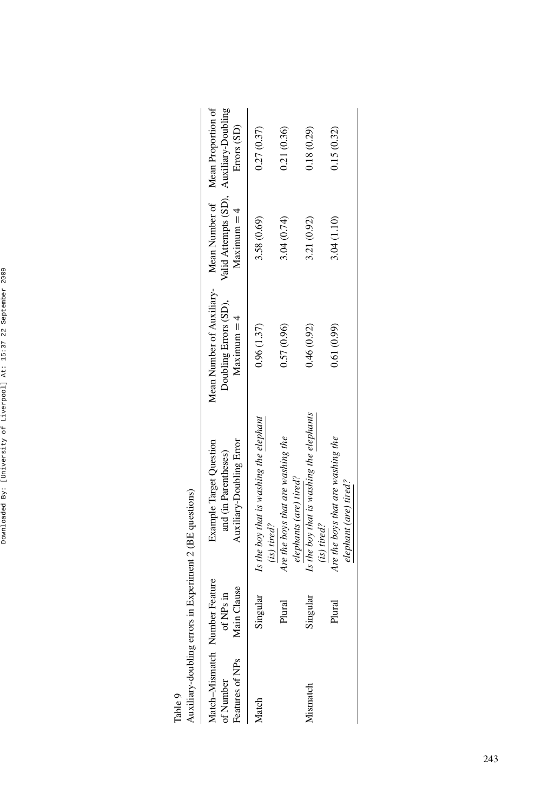| í<br>ı<br>ı                                                   |
|---------------------------------------------------------------|
| ı<br>١<br>١<br>l<br>I<br>١                                    |
| Ó<br>i<br>¢<br>ı                                              |
| I<br>j<br>١<br>I<br>١<br>í<br>ı                               |
| J<br>ı<br>I<br>ï                                              |
| ı<br>l<br>١<br>Ï<br>j<br>١<br>I<br>l<br>Ì<br>١<br>ı<br>Ï      |
| Ï<br>ı<br>Ò<br>ś                                              |
| l<br>i<br>þ<br>l<br>ı<br>ĭ<br>í<br>ı<br>í<br>I<br>ï<br>I<br>ś |
| i<br>l<br>١<br>I                                              |
| î<br>5<br>b<br>ï<br>۱<br>i<br>Ï<br>Ï<br>١<br>١                |

Table 9<br>Anxiliarv-doubling errors in Experiment 2 (BE questions)

| Auxiliary-doubling errors                                                 |                          | in Experiment 2 (BE questions)                                                     |                                                                                                       |                                                          |             |
|---------------------------------------------------------------------------|--------------------------|------------------------------------------------------------------------------------|-------------------------------------------------------------------------------------------------------|----------------------------------------------------------|-------------|
| Match-Mismatch Number Feature<br>Features of NP <sub>s</sub><br>of Number | Main Clause<br>of NPs in | <b>Example Target Question</b><br>Auxiliary-Doubling Error<br>and (in Parentheses) | Mean Number of Auxiliary- Mean Number of Mean Proportion of<br>Doubling Errors (SD),<br>$Maximum = 4$ | Valid Attempts (SD), Auxiliary-Doubling<br>$Maximum = 4$ | Errors (SD) |
| Match                                                                     | Singular                 | Is the boy that is washing the elephant<br>(is) tired?                             | 0.96(1.37)                                                                                            | 3.58 (0.69)                                              | 0.27(0.37)  |
|                                                                           | Plural                   | Are the boys that are washing the<br>elephants (are) tired?                        | 0.57(0.96)                                                                                            | 3.04(0.74)                                               | 0.21(0.36)  |
| Mismatch                                                                  | Singular                 | Is the boy that is washing the elephants<br>$(is)$ tired?                          | 0.46(0.92)                                                                                            | 3.21 (0.92)                                              | 0.18(0.29)  |
|                                                                           | Plural                   | Are the boys that are washing the<br>elephant (are) tired?                         | 0.61(0.99)                                                                                            | 3.04(1.10)                                               | 0.15(0.32)  |
|                                                                           |                          |                                                                                    |                                                                                                       |                                                          |             |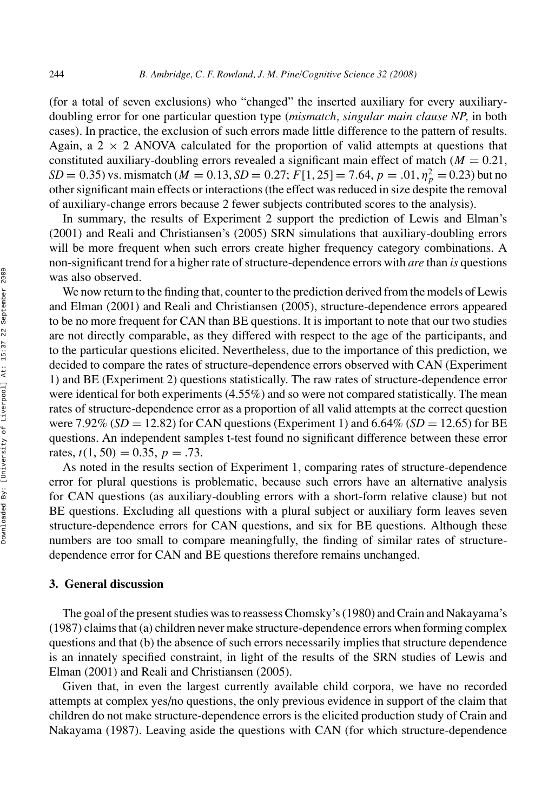(for a total of seven exclusions) who "changed" the inserted auxiliary for every auxiliarydoubling error for one particular question type (*mismatch, singular main clause NP,* in both cases). In practice, the exclusion of such errors made little difference to the pattern of results. Again, a  $2 \times 2$  ANOVA calculated for the proportion of valid attempts at questions that constituted auxiliary-doubling errors revealed a significant main effect of match  $(M = 0.21)$ , *SD* = 0.35) vs. mismatch ( $M = 0.13$ , *SD* = 0.27;  $F[1, 25] = 7.64$ ,  $p = .01$ ,  $\eta_p^2 = 0.23$ ) but no other significant main effects or interactions (the effect was reduced in size despite the removal of auxiliary-change errors because 2 fewer subjects contributed scores to the analysis).

In summary, the results of Experiment 2 support the prediction of Lewis and Elman's (2001) and Reali and Christiansen's (2005) SRN simulations that auxiliary-doubling errors will be more frequent when such errors create higher frequency category combinations. A non-significant trend for a higher rate of structure-dependence errors with *are* than *is* questions was also observed.

We now return to the finding that, counter to the prediction derived from the models of Lewis and Elman (2001) and Reali and Christiansen (2005), structure-dependence errors appeared to be no more frequent for CAN than BE questions. It is important to note that our two studies are not directly comparable, as they differed with respect to the age of the participants, and to the particular questions elicited. Nevertheless, due to the importance of this prediction, we decided to compare the rates of structure-dependence errors observed with CAN (Experiment 1) and BE (Experiment 2) questions statistically. The raw rates of structure-dependence error were identical for both experiments (4.55%) and so were not compared statistically. The mean rates of structure-dependence error as a proportion of all valid attempts at the correct question were 7.92% (*SD* = 12.82) for CAN questions (Experiment 1) and 6.64% (*SD* = 12.65) for BE questions. An independent samples t-test found no significant difference between these error rates,  $t(1, 50) = 0.35$ ,  $p = .73$ .

As noted in the results section of Experiment 1, comparing rates of structure-dependence error for plural questions is problematic, because such errors have an alternative analysis for CAN questions (as auxiliary-doubling errors with a short-form relative clause) but not BE questions. Excluding all questions with a plural subject or auxiliary form leaves seven structure-dependence errors for CAN questions, and six for BE questions. Although these numbers are too small to compare meaningfully, the finding of similar rates of structuredependence error for CAN and BE questions therefore remains unchanged.

#### **3. General discussion**

The goal of the present studies was to reassess Chomsky's (1980) and Crain and Nakayama's (1987) claims that (a) children never make structure-dependence errors when forming complex questions and that (b) the absence of such errors necessarily implies that structure dependence is an innately specified constraint, in light of the results of the SRN studies of Lewis and Elman (2001) and Reali and Christiansen (2005).

Given that, in even the largest currently available child corpora, we have no recorded attempts at complex yes/no questions, the only previous evidence in support of the claim that children do not make structure-dependence errors is the elicited production study of Crain and Nakayama (1987). Leaving aside the questions with CAN (for which structure-dependence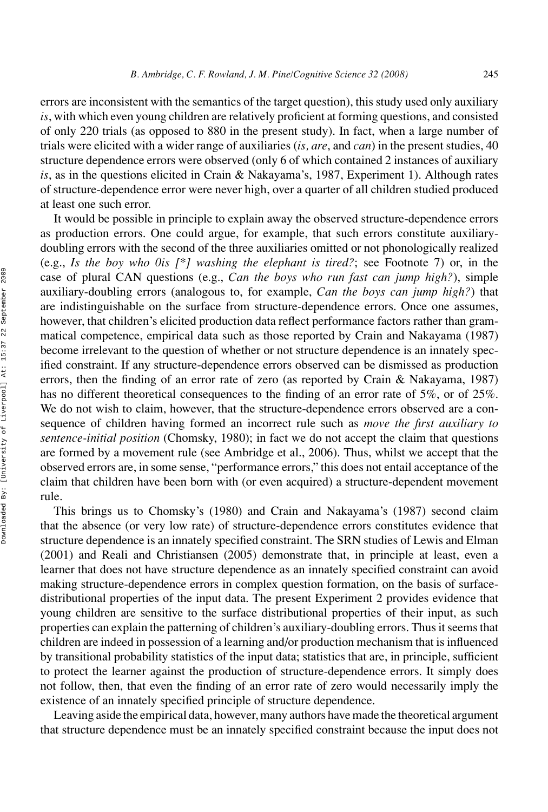errors are inconsistent with the semantics of the target question), this study used only auxiliary *is*, with which even young children are relatively proficient at forming questions, and consisted of only 220 trials (as opposed to 880 in the present study). In fact, when a large number of trials were elicited with a wider range of auxiliaries (*is, are*, and *can*) in the present studies, 40 structure dependence errors were observed (only 6 of which contained 2 instances of auxiliary *is*, as in the questions elicited in Crain & Nakayama's, 1987, Experiment 1). Although rates of structure-dependence error were never high, over a quarter of all children studied produced at least one such error.

It would be possible in principle to explain away the observed structure-dependence errors as production errors. One could argue, for example, that such errors constitute auxiliarydoubling errors with the second of the three auxiliaries omitted or not phonologically realized (e.g., *Is the boy who 0is [\*] washing the elephant is tired?*; see Footnote 7) or, in the case of plural CAN questions (e.g., *Can the boys who run fast can jump high?*), simple auxiliary-doubling errors (analogous to, for example, *Can the boys can jump high?*) that are indistinguishable on the surface from structure-dependence errors. Once one assumes, however, that children's elicited production data reflect performance factors rather than grammatical competence, empirical data such as those reported by Crain and Nakayama (1987) become irrelevant to the question of whether or not structure dependence is an innately specified constraint. If any structure-dependence errors observed can be dismissed as production errors, then the finding of an error rate of zero (as reported by Crain & Nakayama, 1987) has no different theoretical consequences to the finding of an error rate of 5%, or of 25%. We do not wish to claim, however, that the structure-dependence errors observed are a consequence of children having formed an incorrect rule such as *move the first auxiliary to sentence-initial position* (Chomsky, 1980); in fact we do not accept the claim that questions are formed by a movement rule (see Ambridge et al., 2006). Thus, whilst we accept that the observed errors are, in some sense, "performance errors," this does not entail acceptance of the claim that children have been born with (or even acquired) a structure-dependent movement rule.

This brings us to Chomsky's (1980) and Crain and Nakayama's (1987) second claim that the absence (or very low rate) of structure-dependence errors constitutes evidence that structure dependence is an innately specified constraint. The SRN studies of Lewis and Elman (2001) and Reali and Christiansen (2005) demonstrate that, in principle at least, even a learner that does not have structure dependence as an innately specified constraint can avoid making structure-dependence errors in complex question formation, on the basis of surfacedistributional properties of the input data. The present Experiment 2 provides evidence that young children are sensitive to the surface distributional properties of their input, as such properties can explain the patterning of children's auxiliary-doubling errors. Thus it seems that children are indeed in possession of a learning and/or production mechanism that is influenced by transitional probability statistics of the input data; statistics that are, in principle, sufficient to protect the learner against the production of structure-dependence errors. It simply does not follow, then, that even the finding of an error rate of zero would necessarily imply the existence of an innately specified principle of structure dependence.

Leaving aside the empirical data, however, many authors have made the theoretical argument that structure dependence must be an innately specified constraint because the input does not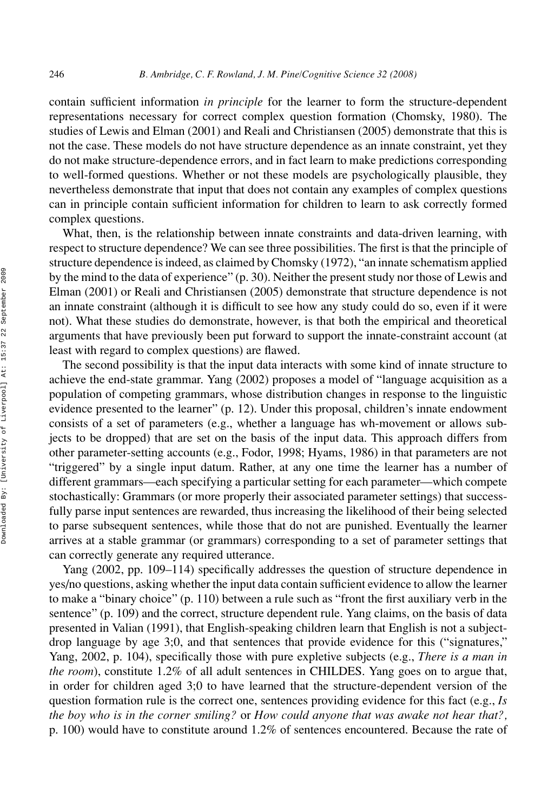contain sufficient information *in principle* for the learner to form the structure-dependent representations necessary for correct complex question formation (Chomsky, 1980). The studies of Lewis and Elman (2001) and Reali and Christiansen (2005) demonstrate that this is not the case. These models do not have structure dependence as an innate constraint, yet they do not make structure-dependence errors, and in fact learn to make predictions corresponding to well-formed questions. Whether or not these models are psychologically plausible, they nevertheless demonstrate that input that does not contain any examples of complex questions can in principle contain sufficient information for children to learn to ask correctly formed complex questions.

What, then, is the relationship between innate constraints and data-driven learning, with respect to structure dependence? We can see three possibilities. The first is that the principle of structure dependence is indeed, as claimed by Chomsky (1972), "an innate schematism applied by the mind to the data of experience" (p. 30). Neither the present study nor those of Lewis and Elman (2001) or Reali and Christiansen (2005) demonstrate that structure dependence is not an innate constraint (although it is difficult to see how any study could do so, even if it were not). What these studies do demonstrate, however, is that both the empirical and theoretical arguments that have previously been put forward to support the innate-constraint account (at least with regard to complex questions) are flawed.

The second possibility is that the input data interacts with some kind of innate structure to achieve the end-state grammar. Yang (2002) proposes a model of "language acquisition as a population of competing grammars, whose distribution changes in response to the linguistic evidence presented to the learner" (p. 12). Under this proposal, children's innate endowment consists of a set of parameters (e.g., whether a language has wh-movement or allows subjects to be dropped) that are set on the basis of the input data. This approach differs from other parameter-setting accounts (e.g., Fodor, 1998; Hyams, 1986) in that parameters are not "triggered" by a single input datum. Rather, at any one time the learner has a number of different grammars—each specifying a particular setting for each parameter—which compete stochastically: Grammars (or more properly their associated parameter settings) that successfully parse input sentences are rewarded, thus increasing the likelihood of their being selected to parse subsequent sentences, while those that do not are punished. Eventually the learner arrives at a stable grammar (or grammars) corresponding to a set of parameter settings that can correctly generate any required utterance.

Yang (2002, pp. 109–114) specifically addresses the question of structure dependence in yes/no questions, asking whether the input data contain sufficient evidence to allow the learner to make a "binary choice" (p. 110) between a rule such as "front the first auxiliary verb in the sentence" (p. 109) and the correct, structure dependent rule. Yang claims, on the basis of data presented in Valian (1991), that English-speaking children learn that English is not a subjectdrop language by age 3;0, and that sentences that provide evidence for this ("signatures," Yang, 2002, p. 104), specifically those with pure expletive subjects (e.g., *There is a man in the room*), constitute 1.2% of all adult sentences in CHILDES. Yang goes on to argue that, in order for children aged 3;0 to have learned that the structure-dependent version of the question formation rule is the correct one, sentences providing evidence for this fact (e.g., *Is the boy who is in the corner smiling?* or *How could anyone that was awake not hear that?,* p. 100) would have to constitute around 1.2% of sentences encountered. Because the rate of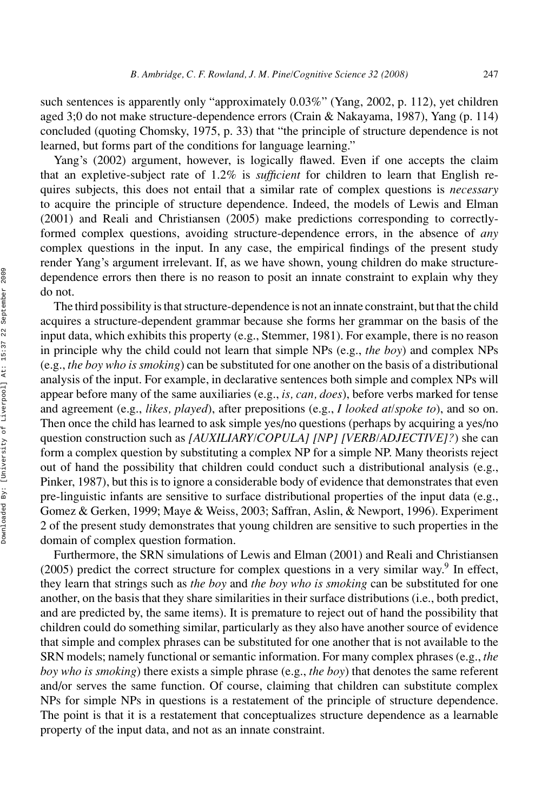such sentences is apparently only "approximately 0.03%" (Yang, 2002, p. 112), yet children aged 3;0 do not make structure-dependence errors (Crain & Nakayama, 1987), Yang (p. 114) concluded (quoting Chomsky, 1975, p. 33) that "the principle of structure dependence is not learned, but forms part of the conditions for language learning."

Yang's (2002) argument, however, is logically flawed. Even if one accepts the claim that an expletive-subject rate of 1.2% is *sufficient* for children to learn that English requires subjects, this does not entail that a similar rate of complex questions is *necessary* to acquire the principle of structure dependence. Indeed, the models of Lewis and Elman (2001) and Reali and Christiansen (2005) make predictions corresponding to correctlyformed complex questions, avoiding structure-dependence errors, in the absence of *any* complex questions in the input. In any case, the empirical findings of the present study render Yang's argument irrelevant. If, as we have shown, young children do make structuredependence errors then there is no reason to posit an innate constraint to explain why they do not.

The third possibility is that structure-dependence is not an innate constraint, but that the child acquires a structure-dependent grammar because she forms her grammar on the basis of the input data, which exhibits this property (e.g., Stemmer, 1981). For example, there is no reason in principle why the child could not learn that simple NPs (e.g., *the boy*) and complex NPs (e.g., *the boy who is smoking*) can be substituted for one another on the basis of a distributional analysis of the input. For example, in declarative sentences both simple and complex NPs will appear before many of the same auxiliaries (e.g., *is, can, does*), before verbs marked for tense and agreement (e.g., *likes, played*), after prepositions (e.g., *I looked at/spoke to*), and so on. Then once the child has learned to ask simple yes/no questions (perhaps by acquiring a yes/no question construction such as *[AUXILIARY/COPULA] [NP] [VERB/ADJECTIVE]?*) she can form a complex question by substituting a complex NP for a simple NP. Many theorists reject out of hand the possibility that children could conduct such a distributional analysis (e.g., Pinker, 1987), but this is to ignore a considerable body of evidence that demonstrates that even pre-linguistic infants are sensitive to surface distributional properties of the input data (e.g., Gomez & Gerken, 1999; Maye & Weiss, 2003; Saffran, Aslin, & Newport, 1996). Experiment 2 of the present study demonstrates that young children are sensitive to such properties in the domain of complex question formation.

Furthermore, the SRN simulations of Lewis and Elman (2001) and Reali and Christiansen  $(2005)$  predict the correct structure for complex questions in a very similar way.<sup>9</sup> In effect, they learn that strings such as *the boy* and *the boy who is smoking* can be substituted for one another, on the basis that they share similarities in their surface distributions (i.e., both predict, and are predicted by, the same items). It is premature to reject out of hand the possibility that children could do something similar, particularly as they also have another source of evidence that simple and complex phrases can be substituted for one another that is not available to the SRN models; namely functional or semantic information. For many complex phrases (e.g., *the boy who is smoking*) there exists a simple phrase (e.g., *the boy*) that denotes the same referent and/or serves the same function. Of course, claiming that children can substitute complex NPs for simple NPs in questions is a restatement of the principle of structure dependence. The point is that it is a restatement that conceptualizes structure dependence as a learnable property of the input data, and not as an innate constraint.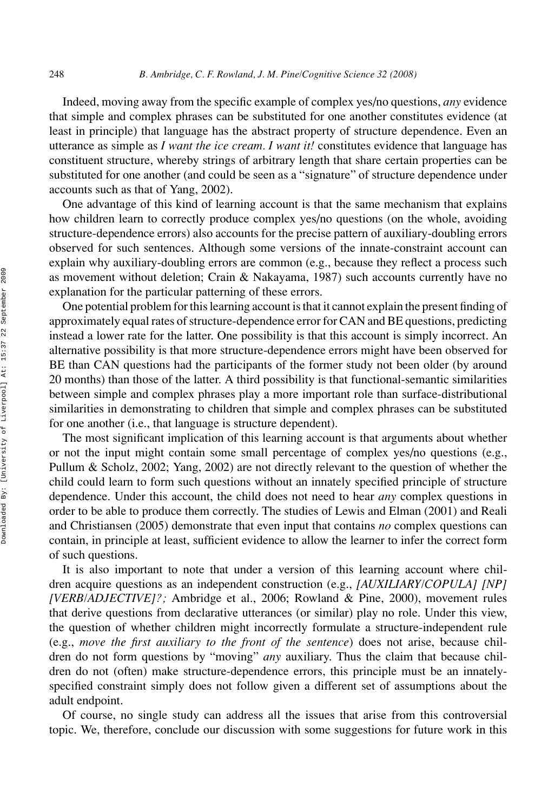Indeed, moving away from the specific example of complex yes/no questions, *any* evidence that simple and complex phrases can be substituted for one another constitutes evidence (at least in principle) that language has the abstract property of structure dependence. Even an utterance as simple as *I want the ice cream. I want it!* constitutes evidence that language has constituent structure, whereby strings of arbitrary length that share certain properties can be substituted for one another (and could be seen as a "signature" of structure dependence under accounts such as that of Yang, 2002).

One advantage of this kind of learning account is that the same mechanism that explains how children learn to correctly produce complex yes/no questions (on the whole, avoiding structure-dependence errors) also accounts for the precise pattern of auxiliary-doubling errors observed for such sentences. Although some versions of the innate-constraint account can explain why auxiliary-doubling errors are common (e.g., because they reflect a process such as movement without deletion; Crain & Nakayama, 1987) such accounts currently have no explanation for the particular patterning of these errors.

One potential problem for this learning account is that it cannot explain the present finding of approximately equal rates of structure-dependence error for CAN and BE questions, predicting instead a lower rate for the latter. One possibility is that this account is simply incorrect. An alternative possibility is that more structure-dependence errors might have been observed for BE than CAN questions had the participants of the former study not been older (by around 20 months) than those of the latter. A third possibility is that functional-semantic similarities between simple and complex phrases play a more important role than surface-distributional similarities in demonstrating to children that simple and complex phrases can be substituted for one another (i.e., that language is structure dependent).

The most significant implication of this learning account is that arguments about whether or not the input might contain some small percentage of complex yes/no questions (e.g., Pullum & Scholz, 2002; Yang, 2002) are not directly relevant to the question of whether the child could learn to form such questions without an innately specified principle of structure dependence. Under this account, the child does not need to hear *any* complex questions in order to be able to produce them correctly. The studies of Lewis and Elman (2001) and Reali and Christiansen (2005) demonstrate that even input that contains *no* complex questions can contain, in principle at least, sufficient evidence to allow the learner to infer the correct form of such questions.

It is also important to note that under a version of this learning account where children acquire questions as an independent construction (e.g., *[AUXILIARY/COPULA] [NP] [VERB/ADJECTIVE]?;* Ambridge et al., 2006; Rowland & Pine, 2000), movement rules that derive questions from declarative utterances (or similar) play no role. Under this view, the question of whether children might incorrectly formulate a structure-independent rule (e.g., *move the first auxiliary to the front of the sentence*) does not arise, because children do not form questions by "moving" *any* auxiliary. Thus the claim that because children do not (often) make structure-dependence errors, this principle must be an innatelyspecified constraint simply does not follow given a different set of assumptions about the adult endpoint.

Of course, no single study can address all the issues that arise from this controversial topic. We, therefore, conclude our discussion with some suggestions for future work in this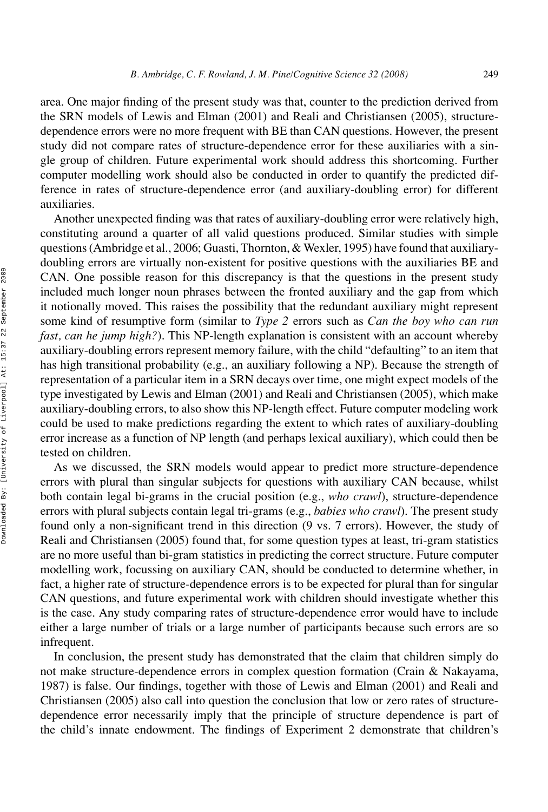area. One major finding of the present study was that, counter to the prediction derived from the SRN models of Lewis and Elman (2001) and Reali and Christiansen (2005), structuredependence errors were no more frequent with BE than CAN questions. However, the present study did not compare rates of structure-dependence error for these auxiliaries with a single group of children. Future experimental work should address this shortcoming. Further computer modelling work should also be conducted in order to quantify the predicted difference in rates of structure-dependence error (and auxiliary-doubling error) for different auxiliaries.

Another unexpected finding was that rates of auxiliary-doubling error were relatively high, constituting around a quarter of all valid questions produced. Similar studies with simple questions (Ambridge et al., 2006; Guasti, Thornton, & Wexler, 1995) have found that auxiliarydoubling errors are virtually non-existent for positive questions with the auxiliaries BE and CAN. One possible reason for this discrepancy is that the questions in the present study included much longer noun phrases between the fronted auxiliary and the gap from which it notionally moved. This raises the possibility that the redundant auxiliary might represent some kind of resumptive form (similar to *Type 2* errors such as *Can the boy who can run fast, can he jump high?*). This NP-length explanation is consistent with an account whereby auxiliary-doubling errors represent memory failure, with the child "defaulting" to an item that has high transitional probability (e.g., an auxiliary following a NP). Because the strength of representation of a particular item in a SRN decays over time, one might expect models of the type investigated by Lewis and Elman (2001) and Reali and Christiansen (2005), which make auxiliary-doubling errors, to also show this NP-length effect. Future computer modeling work could be used to make predictions regarding the extent to which rates of auxiliary-doubling error increase as a function of NP length (and perhaps lexical auxiliary), which could then be tested on children.

As we discussed, the SRN models would appear to predict more structure-dependence errors with plural than singular subjects for questions with auxiliary CAN because, whilst both contain legal bi-grams in the crucial position (e.g., *who crawl*), structure-dependence errors with plural subjects contain legal tri-grams (e.g., *babies who crawl*). The present study found only a non-significant trend in this direction (9 vs. 7 errors). However, the study of Reali and Christiansen (2005) found that, for some question types at least, tri-gram statistics are no more useful than bi-gram statistics in predicting the correct structure. Future computer modelling work, focussing on auxiliary CAN, should be conducted to determine whether, in fact, a higher rate of structure-dependence errors is to be expected for plural than for singular CAN questions, and future experimental work with children should investigate whether this is the case. Any study comparing rates of structure-dependence error would have to include either a large number of trials or a large number of participants because such errors are so infrequent.

In conclusion, the present study has demonstrated that the claim that children simply do not make structure-dependence errors in complex question formation (Crain & Nakayama, 1987) is false. Our findings, together with those of Lewis and Elman (2001) and Reali and Christiansen (2005) also call into question the conclusion that low or zero rates of structuredependence error necessarily imply that the principle of structure dependence is part of the child's innate endowment. The findings of Experiment 2 demonstrate that children's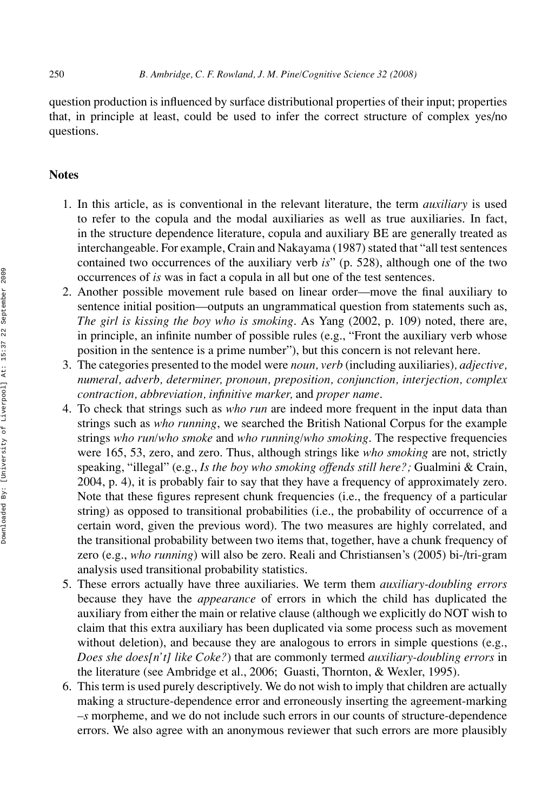question production is influenced by surface distributional properties of their input; properties that, in principle at least, could be used to infer the correct structure of complex yes/no questions.

# **Notes**

- 1. In this article, as is conventional in the relevant literature, the term *auxiliary* is used to refer to the copula and the modal auxiliaries as well as true auxiliaries. In fact, in the structure dependence literature, copula and auxiliary BE are generally treated as interchangeable. For example, Crain and Nakayama (1987) stated that "all test sentences contained two occurrences of the auxiliary verb *is*" (p. 528), although one of the two occurrences of *is* was in fact a copula in all but one of the test sentences.
- 2. Another possible movement rule based on linear order—move the final auxiliary to sentence initial position—outputs an ungrammatical question from statements such as, *The girl is kissing the boy who is smoking*. As Yang (2002, p. 109) noted, there are, in principle, an infinite number of possible rules (e.g., "Front the auxiliary verb whose position in the sentence is a prime number"), but this concern is not relevant here.
- 3. The categories presented to the model were *noun, verb* (including auxiliaries)*, adjective, numeral, adverb, determiner, pronoun, preposition, conjunction, interjection, complex contraction, abbreviation, infinitive marker,* and *proper name*.
- 4. To check that strings such as *who run* are indeed more frequent in the input data than strings such as *who running*, we searched the British National Corpus for the example strings *who run/who smoke* and *who running/who smoking*. The respective frequencies were 165, 53, zero, and zero. Thus, although strings like *who smoking* are not, strictly speaking, "illegal" (e.g., *Is the boy who smoking offends still here?;* Gualmini & Crain, 2004, p. 4), it is probably fair to say that they have a frequency of approximately zero. Note that these figures represent chunk frequencies (i.e., the frequency of a particular string) as opposed to transitional probabilities (i.e., the probability of occurrence of a certain word, given the previous word). The two measures are highly correlated, and the transitional probability between two items that, together, have a chunk frequency of zero (e.g., *who running*) will also be zero. Reali and Christiansen's (2005) bi-/tri-gram analysis used transitional probability statistics.
- 5. These errors actually have three auxiliaries. We term them *auxiliary-doubling errors* because they have the *appearance* of errors in which the child has duplicated the auxiliary from either the main or relative clause (although we explicitly do NOT wish to claim that this extra auxiliary has been duplicated via some process such as movement without deletion), and because they are analogous to errors in simple questions (e.g., *Does she does[n't] like Coke?*) that are commonly termed *auxiliary-doubling errors* in the literature (see Ambridge et al., 2006; Guasti, Thornton, & Wexler, 1995).
- 6. This term is used purely descriptively. We do not wish to imply that children are actually making a structure-dependence error and erroneously inserting the agreement-marking *–s* morpheme, and we do not include such errors in our counts of structure-dependence errors. We also agree with an anonymous reviewer that such errors are more plausibly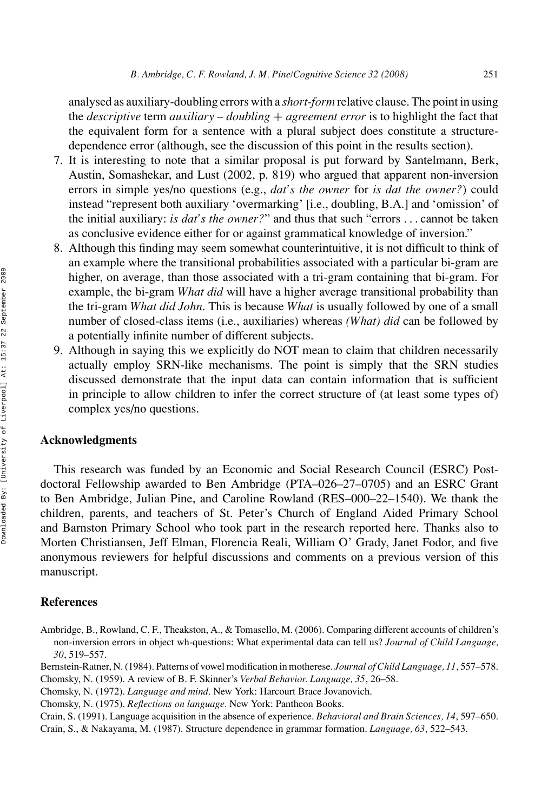analysed as auxiliary-doubling errors with a *short-form* relative clause. The point in using the *descriptive* term *auxiliary – doubling* + *agreement error* is to highlight the fact that the equivalent form for a sentence with a plural subject does constitute a structuredependence error (although, see the discussion of this point in the results section).

- 7. It is interesting to note that a similar proposal is put forward by Santelmann, Berk, Austin, Somashekar, and Lust (2002, p. 819) who argued that apparent non-inversion errors in simple yes/no questions (e.g., *dat's the owner* for *is dat the owner?*) could instead "represent both auxiliary 'overmarking' [i.e., doubling, B.A.] and 'omission' of the initial auxiliary: *is dat's the owner?*" and thus that such "errors . . . cannot be taken as conclusive evidence either for or against grammatical knowledge of inversion."
- 8. Although this finding may seem somewhat counterintuitive, it is not difficult to think of an example where the transitional probabilities associated with a particular bi-gram are higher, on average, than those associated with a tri-gram containing that bi-gram. For example, the bi-gram *What did* will have a higher average transitional probability than the tri-gram *What did John*. This is because *What* is usually followed by one of a small number of closed-class items (i.e., auxiliaries) whereas *(What) did* can be followed by a potentially infinite number of different subjects.
- 9. Although in saying this we explicitly do NOT mean to claim that children necessarily actually employ SRN-like mechanisms. The point is simply that the SRN studies discussed demonstrate that the input data can contain information that is sufficient in principle to allow children to infer the correct structure of (at least some types of) complex yes/no questions.

# **Acknowledgments**

This research was funded by an Economic and Social Research Council (ESRC) Postdoctoral Fellowship awarded to Ben Ambridge (PTA–026–27–0705) and an ESRC Grant to Ben Ambridge, Julian Pine, and Caroline Rowland (RES–000–22–1540). We thank the children, parents, and teachers of St. Peter's Church of England Aided Primary School and Barnston Primary School who took part in the research reported here. Thanks also to Morten Christiansen, Jeff Elman, Florencia Reali, William O' Grady, Janet Fodor, and five anonymous reviewers for helpful discussions and comments on a previous version of this manuscript.

#### **References**

Ambridge, B., Rowland, C. F., Theakston, A., & Tomasello, M. (2006). Comparing different accounts of children's non-inversion errors in object wh-questions: What experimental data can tell us? *Journal of Child Language, 30*, 519–557.

Bernstein-Ratner, N. (1984). Patterns of vowel modification in motherese. *Journal of Child Language, 11*, 557–578. Chomsky, N. (1959). A review of B. F. Skinner's *Verbal Behavior. Language, 35*, 26–58.

Crain, S. (1991). Language acquisition in the absence of experience. *Behavioral and Brain Sciences, 14*, 597–650. Crain, S., & Nakayama, M. (1987). Structure dependence in grammar formation. *Language, 63*, 522–543.

Chomsky, N. (1972). *Language and mind.* New York: Harcourt Brace Jovanovich.

Chomsky, N. (1975). *Reflections on language.* New York: Pantheon Books.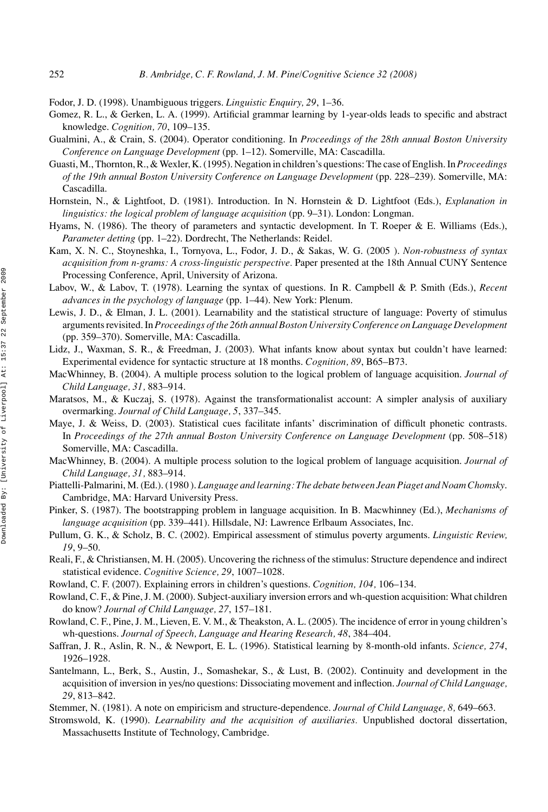Fodor, J. D. (1998). Unambiguous triggers. *Linguistic Enquiry, 29*, 1–36.

- Gomez, R. L., & Gerken, L. A. (1999). Artificial grammar learning by 1-year-olds leads to specific and abstract knowledge. *Cognition, 70*, 109–135.
- Gualmini, A., & Crain, S. (2004). Operator conditioning. In *Proceedings of the 28th annual Boston University Conference on Language Development* (pp. 1–12). Somerville, MA: Cascadilla.
- Guasti, M., Thornton, R., & Wexler, K. (1995). Negation in children's questions: The case of English. In*Proceedings of the 19th annual Boston University Conference on Language Development* (pp. 228–239). Somerville, MA: Cascadilla.
- Hornstein, N., & Lightfoot, D. (1981). Introduction. In N. Hornstein & D. Lightfoot (Eds.), *Explanation in linguistics: the logical problem of language acquisition* (pp. 9–31). London: Longman.
- Hyams, N. (1986). The theory of parameters and syntactic development. In T. Roeper & E. Williams (Eds.), *Parameter detting* (pp. 1–22). Dordrecht, The Netherlands: Reidel.
- Kam, X. N. C., Stoyneshka, I., Tornyova, L., Fodor, J. D., & Sakas, W. G. (2005 ). *Non-robustness of syntax acquisition from n-grams: A cross-linguistic perspective.* Paper presented at the 18th Annual CUNY Sentence Processing Conference, April, University of Arizona.
- Labov, W., & Labov, T. (1978). Learning the syntax of questions. In R. Campbell & P. Smith (Eds.), *Recent advances in the psychology of language* (pp. 1–44). New York: Plenum.
- Lewis, J. D., & Elman, J. L. (2001). Learnability and the statistical structure of language: Poverty of stimulus arguments revisited. In *Proceedings of the 26th annual Boston University Conference on Language Development* (pp. 359–370). Somerville, MA: Cascadilla.
- Lidz, J., Waxman, S. R., & Freedman, J. (2003). What infants know about syntax but couldn't have learned: Experimental evidence for syntactic structure at 18 months. *Cognition, 89*, B65–B73.
- MacWhinney, B. (2004). A multiple process solution to the logical problem of language acquisition. *Journal of Child Language, 31,* 883–914.
- Maratsos, M., & Kuczaj, S. (1978). Against the transformationalist account: A simpler analysis of auxiliary overmarking. *Journal of Child Language, 5*, 337–345.
- Maye, J. & Weiss, D. (2003). Statistical cues facilitate infants' discrimination of difficult phonetic contrasts. In *Proceedings of the 27th annual Boston University Conference on Language Development* (pp. 508–518) Somerville, MA: Cascadilla.
- MacWhinney, B. (2004). A multiple process solution to the logical problem of language acquisition. *Journal of Child Language, 31,* 883–914.
- Piattelli-Palmarini, M. (Ed.). (1980 ). *Language and learning: The debate between Jean Piaget and Noam Chomsky*. Cambridge, MA: Harvard University Press.
- Pinker, S. (1987). The bootstrapping problem in language acquisition. In B. Macwhinney (Ed.), *Mechanisms of language acquisition* (pp. 339–441). Hillsdale, NJ: Lawrence Erlbaum Associates, Inc.
- Pullum, G. K., & Scholz, B. C. (2002). Empirical assessment of stimulus poverty arguments. *Linguistic Review, 19*, 9–50.
- Reali, F., & Christiansen, M. H. (2005). Uncovering the richness of the stimulus: Structure dependence and indirect statistical evidence. *Cognitive Science, 29*, 1007–1028.
- Rowland, C. F. (2007). Explaining errors in children's questions. *Cognition, 104,* 106–134.
- Rowland, C. F., & Pine, J. M. (2000). Subject-auxiliary inversion errors and wh-question acquisition: What children do know? *Journal of Child Language, 27*, 157–181.
- Rowland, C. F., Pine, J. M., Lieven, E. V. M., & Theakston, A. L. (2005). The incidence of error in young children's wh-questions. *Journal of Speech, Language and Hearing Research, 48*, 384–404.
- Saffran, J. R., Aslin, R. N., & Newport, E. L. (1996). Statistical learning by 8-month-old infants. *Science, 274*, 1926–1928.
- Santelmann, L., Berk, S., Austin, J., Somashekar, S., & Lust, B. (2002). Continuity and development in the acquisition of inversion in yes/no questions: Dissociating movement and inflection. *Journal of Child Language, 29*, 813–842.
- Stemmer, N. (1981). A note on empiricism and structure-dependence. *Journal of Child Language, 8,* 649–663.
- Stromswold, K. (1990). *Learnability and the acquisition of auxiliaries.* Unpublished doctoral dissertation, Massachusetts Institute of Technology, Cambridge.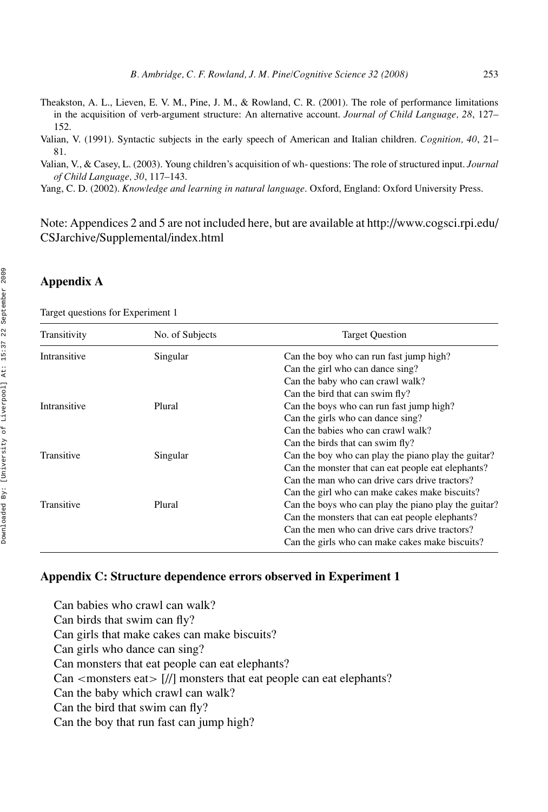Theakston, A. L., Lieven, E. V. M., Pine, J. M., & Rowland, C. R. (2001). The role of performance limitations in the acquisition of verb-argument structure: An alternative account. *Journal of Child Language, 28*, 127– 152.

Valian, V. (1991). Syntactic subjects in the early speech of American and Italian children. *Cognition, 40*, 21– 81.

Valian, V., & Casey, L. (2003). Young children's acquisition of wh- questions: The role of structured input. *Journal of Child Language, 30*, 117–143.

Yang, C. D. (2002). *Knowledge and learning in natural language*. Oxford, England: Oxford University Press.

Note: Appendices 2 and 5 are not included here, but are available at http://www.cogsci.rpi.edu/ CSJarchive/Supplemental/index.html

#### **Appendix A**

Target questions for Experiment 1

| No. of Subjects | <b>Target Question</b>                               |
|-----------------|------------------------------------------------------|
| Singular        | Can the boy who can run fast jump high?              |
|                 | Can the girl who can dance sing?                     |
|                 | Can the baby who can crawl walk?                     |
|                 | Can the bird that can swim fly?                      |
| Plural          | Can the boys who can run fast jump high?             |
|                 | Can the girls who can dance sing?                    |
|                 | Can the babies who can crawl walk?                   |
|                 | Can the birds that can swim fly?                     |
| Singular        | Can the boy who can play the piano play the guitar?  |
|                 | Can the monster that can eat people eat elephants?   |
|                 | Can the man who can drive cars drive tractors?       |
|                 | Can the girl who can make cakes make biscuits?       |
| Plural          | Can the boys who can play the piano play the guitar? |
|                 | Can the monsters that can eat people elephants?      |
|                 | Can the men who can drive cars drive tractors?       |
|                 | Can the girls who can make cakes make biscuits?      |
|                 |                                                      |

#### **Appendix C: Structure dependence errors observed in Experiment 1**

Can babies who crawl can walk? Can birds that swim can fly? Can girls that make cakes can make biscuits? Can girls who dance can sing? Can monsters that eat people can eat elephants? Can *<*monsters eat*>* [//] monsters that eat people can eat elephants? Can the baby which crawl can walk? Can the bird that swim can fly? Can the boy that run fast can jump high?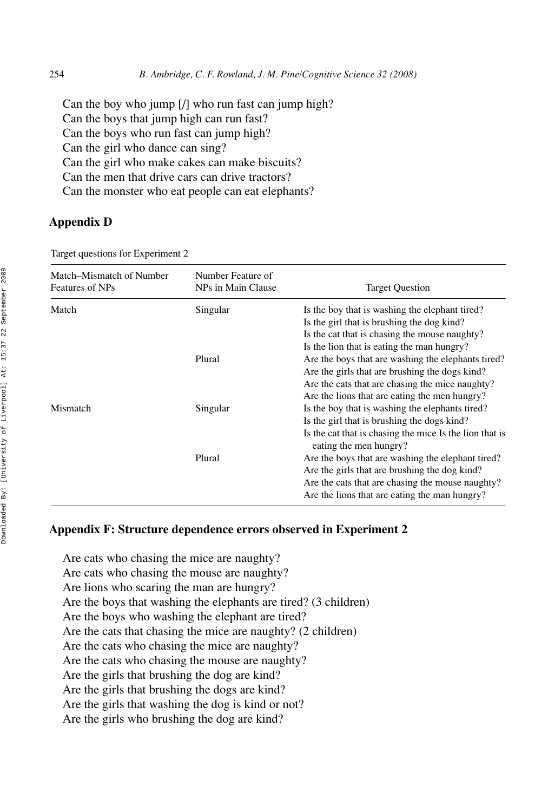Can the boy who jump [/] who run fast can jump high? Can the boys that jump high can run fast? Can the boys who run fast can jump high? Can the girl who dance can sing? Can the girl who make cakes can make biscuits? Can the men that drive cars can drive tractors? Can the monster who eat people can eat elephants?

# **Appendix D**

Target questions for Experiment 2

| Match–Mismatch of Number<br>Features of NPs | Number Feature of<br>NPs in Main Clause | <b>Target Question</b>                                                            |
|---------------------------------------------|-----------------------------------------|-----------------------------------------------------------------------------------|
| Match                                       | Singular                                | Is the boy that is washing the elephant tired?                                    |
|                                             |                                         | Is the girl that is brushing the dog kind?                                        |
|                                             |                                         | Is the cat that is chasing the mouse naughty?                                     |
|                                             |                                         | Is the lion that is eating the man hungry?                                        |
|                                             | Plural                                  | Are the boys that are washing the elephants tired?                                |
|                                             |                                         | Are the girls that are brushing the dogs kind?                                    |
|                                             |                                         | Are the cats that are chasing the mice naughty?                                   |
|                                             |                                         | Are the lions that are eating the men hungry?                                     |
| Mismatch                                    | Singular                                | Is the boy that is washing the elephants tired?                                   |
|                                             |                                         | Is the girl that is brushing the dogs kind?                                       |
|                                             |                                         | Is the cat that is chasing the mice Is the lion that is<br>eating the men hungry? |
|                                             | Plural                                  | Are the boys that are washing the elephant tired?                                 |
|                                             |                                         | Are the girls that are brushing the dog kind?                                     |
|                                             |                                         | Are the cats that are chasing the mouse naughty?                                  |
|                                             |                                         | Are the lions that are eating the man hungry?                                     |

#### **Appendix F: Structure dependence errors observed in Experiment 2**

Are cats who chasing the mice are naughty? Are cats who chasing the mouse are naughty? Are lions who scaring the man are hungry? Are the boys that washing the elephants are tired? (3 children) Are the boys who washing the elephant are tired? Are the cats that chasing the mice are naughty? (2 children) Are the cats who chasing the mice are naughty? Are the cats who chasing the mouse are naughty? Are the girls that brushing the dog are kind? Are the girls that brushing the dogs are kind? Are the girls that washing the dog is kind or not? Are the girls who brushing the dog are kind?